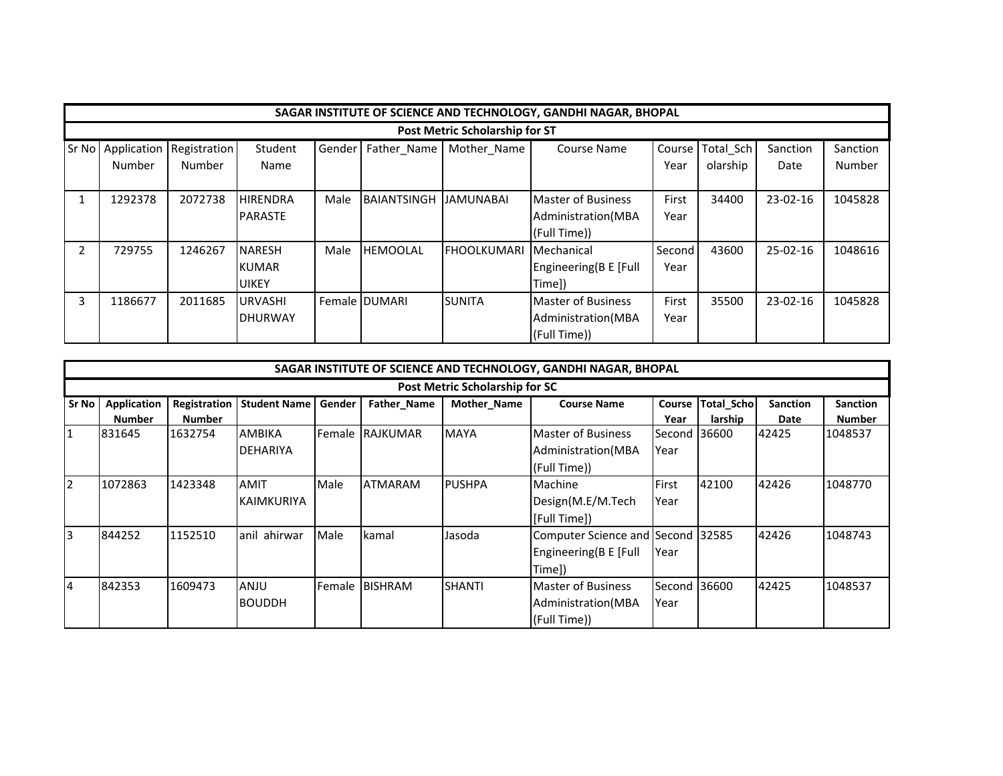|       | SAGAR INSTITUTE OF SCIENCE AND TECHNOLOGY, GANDHI NAGAR, BHOPAL |              |                 |        |                       |                     |                           |        |           |            |          |  |  |  |
|-------|-----------------------------------------------------------------|--------------|-----------------|--------|-----------------------|---------------------|---------------------------|--------|-----------|------------|----------|--|--|--|
|       | <b>Post Metric Scholarship for ST</b>                           |              |                 |        |                       |                     |                           |        |           |            |          |  |  |  |
| Sr No | Application                                                     | Registration | Student         | Gender | Father Name           | Mother_Name         | <b>Course Name</b>        | Course | Total Sch | Sanction   | Sanction |  |  |  |
|       | Number                                                          | Number       | Name            |        |                       |                     |                           | Year   | olarship  | Date       | Number   |  |  |  |
|       |                                                                 |              |                 |        |                       |                     |                           |        |           |            |          |  |  |  |
|       | 1292378                                                         | 2072738      | <b>HIRENDRA</b> | Male   | <b>BAIANTSINGH</b>    | <b>JAMUNABAI</b>    | <b>Master of Business</b> | First  | 34400     | 23-02-16   | 1045828  |  |  |  |
|       |                                                                 |              | <b>PARASTE</b>  |        |                       |                     | Administration (MBA       | Year   |           |            |          |  |  |  |
|       |                                                                 |              |                 |        |                       |                     | (Full Time))              |        |           |            |          |  |  |  |
|       | 729755                                                          | 1246267      | <b>NARESH</b>   | Male   | <b>HEMOOLAL</b>       | <b>IFHOOLKUMARI</b> | Mechanical                | Second | 43600     | $25-02-16$ | 1048616  |  |  |  |
|       |                                                                 |              | <b>KUMAR</b>    |        |                       |                     | Engineering(B E [Full     | Year   |           |            |          |  |  |  |
|       |                                                                 |              | <b>UIKEY</b>    |        |                       |                     | Time])                    |        |           |            |          |  |  |  |
| 3     | 1186677                                                         | 2011685      | <b>URVASHI</b>  |        | <b>Female IDUMARI</b> | <b>SUNITA</b>       | <b>Master of Business</b> | First  | 35500     | $23-02-16$ | 1045828  |  |  |  |
|       |                                                                 |              | <b>DHURWAY</b>  |        |                       |                     | Administration (MBA       | Year   |           |            |          |  |  |  |
|       |                                                                 |              |                 |        |                       |                     | (Full Time))              |        |           |            |          |  |  |  |

|       | SAGAR INSTITUTE OF SCIENCE AND TECHNOLOGY, GANDHI NAGAR, BHOPAL |               |                     |                |                 |               |                                   |               |                   |                 |                 |  |  |  |
|-------|-----------------------------------------------------------------|---------------|---------------------|----------------|-----------------|---------------|-----------------------------------|---------------|-------------------|-----------------|-----------------|--|--|--|
|       | <b>Post Metric Scholarship for SC</b>                           |               |                     |                |                 |               |                                   |               |                   |                 |                 |  |  |  |
| Sr No | <b>Application</b>                                              | Registration  | <b>Student Name</b> | Gender         | Father_Name     | Mother_Name   | <b>Course Name</b>                | <b>Course</b> | <b>Total_Scho</b> | <b>Sanction</b> | <b>Sanction</b> |  |  |  |
|       | <b>Number</b>                                                   | <b>Number</b> |                     |                |                 |               |                                   | Year          | larship           | Date            | <b>Number</b>   |  |  |  |
| 11    | 831645                                                          | 1632754       | <b>AMBIKA</b>       | <b>IFemale</b> | <b>RAJKUMAR</b> | <b>MAYA</b>   | <b>Master of Business</b>         | Second 136600 |                   | 42425           | 1048537         |  |  |  |
|       |                                                                 |               | <b>DEHARIYA</b>     |                |                 |               | Administration (MBA               | Year          |                   |                 |                 |  |  |  |
|       |                                                                 |               |                     |                |                 |               | (Full Time))                      |               |                   |                 |                 |  |  |  |
| 12    | 1072863                                                         | 1423348       | AMIT                | Male           | <b>ATMARAM</b>  | <b>PUSHPA</b> | Machine                           | First         | 42100             | 42426           | 1048770         |  |  |  |
|       |                                                                 |               | <b>KAIMKURIYA</b>   |                |                 |               | Design(M.E/M.Tech                 | Year          |                   |                 |                 |  |  |  |
|       |                                                                 |               |                     |                |                 |               | [Full Time])                      |               |                   |                 |                 |  |  |  |
| 3     | 844252                                                          | 1152510       | anil ahirwar        | Male           | Ikamal          | Jasoda        | Computer Science and Second 32585 |               |                   | 42426           | 1048743         |  |  |  |
|       |                                                                 |               |                     |                |                 |               | Engineering(B E [Full             | Year          |                   |                 |                 |  |  |  |
|       |                                                                 |               |                     |                |                 |               | Time])                            |               |                   |                 |                 |  |  |  |
| 14    | 842353                                                          | 1609473       | ANJU                |                | Female BISHRAM  | <b>SHANTI</b> | <b>Master of Business</b>         | Second 36600  |                   | 42425           | 1048537         |  |  |  |
|       |                                                                 |               | <b>BOUDDH</b>       |                |                 |               | Administration (MBA               | Year          |                   |                 |                 |  |  |  |
|       |                                                                 |               |                     |                |                 |               | (Full Time))                      |               |                   |                 |                 |  |  |  |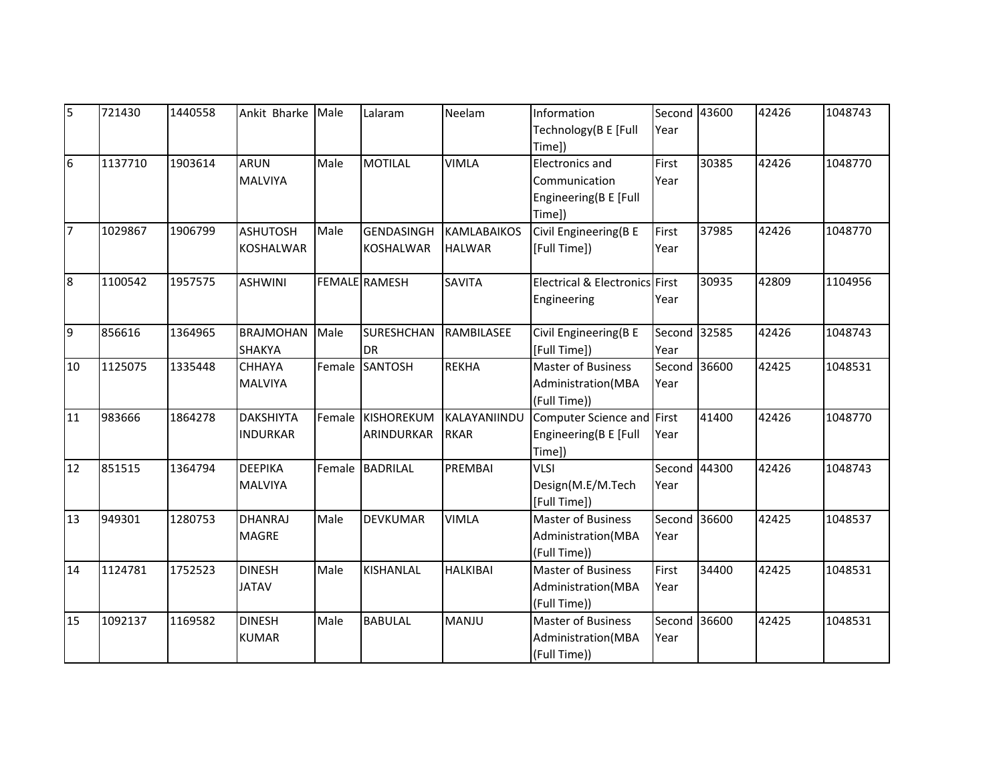| 5              | 721430  | 1440558 | Ankit Bharke Male                   |      | Lalaram                               | Neelam                              | Information<br>Technology(B E [Full<br>Time])                              | Second 43600<br>Year |       | 42426 | 1048743 |
|----------------|---------|---------|-------------------------------------|------|---------------------------------------|-------------------------------------|----------------------------------------------------------------------------|----------------------|-------|-------|---------|
| 6              | 1137710 | 1903614 | <b>ARUN</b><br><b>MALVIYA</b>       | Male | <b>MOTILAL</b>                        | <b>VIMLA</b>                        | <b>Electronics and</b><br>Communication<br>Engineering(B E [Full<br>Time]) | First<br>Year        | 30385 | 42426 | 1048770 |
| $\overline{7}$ | 1029867 | 1906799 | <b>ASHUTOSH</b><br><b>KOSHALWAR</b> | Male | <b>GENDASINGH</b><br><b>KOSHALWAR</b> | <b>KAMLABAIKOS</b><br><b>HALWAR</b> | Civil Engineering(B E<br>[Full Time])                                      | First<br>Year        | 37985 | 42426 | 1048770 |
| 8              | 1100542 | 1957575 | <b>ASHWINI</b>                      |      | <b>FEMALE</b> RAMESH                  | <b>SAVITA</b>                       | Electrical & Electronics First<br>Engineering                              | Year                 | 30935 | 42809 | 1104956 |
| 9              | 856616  | 1364965 | <b>BRAJMOHAN</b><br><b>SHAKYA</b>   | Male | <b>SURESHCHAN</b><br>DR               | RAMBILASEE                          | Civil Engineering(B E<br>[Full Time])                                      | Second 32585<br>Year |       | 42426 | 1048743 |
| 10             | 1125075 | 1335448 | <b>CHHAYA</b><br><b>MALVIYA</b>     |      | Female SANTOSH                        | <b>REKHA</b>                        | <b>Master of Business</b><br>Administration(MBA<br>(Full Time))            | Second 36600<br>Year |       | 42425 | 1048531 |
| 11             | 983666  | 1864278 | <b>DAKSHIYTA</b><br><b>INDURKAR</b> |      | Female KISHOREKUM<br>ARINDURKAR       | KALAYANIINDU<br><b>RKAR</b>         | Computer Science and First<br>Engineering(B E [Full<br>Time])              | Year                 | 41400 | 42426 | 1048770 |
| 12             | 851515  | 1364794 | <b>DEEPIKA</b><br><b>MALVIYA</b>    |      | Female BADRILAL                       | <b>PREMBAI</b>                      | <b>VLSI</b><br>Design(M.E/M.Tech<br>[Full Time])                           | Second 44300<br>Year |       | 42426 | 1048743 |
| 13             | 949301  | 1280753 | <b>DHANRAJ</b><br><b>MAGRE</b>      | Male | <b>DEVKUMAR</b>                       | <b>VIMLA</b>                        | <b>Master of Business</b><br>Administration(MBA<br>(Full Time))            | Second 36600<br>Year |       | 42425 | 1048537 |
| 14             | 1124781 | 1752523 | <b>DINESH</b><br><b>JATAV</b>       | Male | <b>KISHANLAL</b>                      | <b>HALKIBAI</b>                     | <b>Master of Business</b><br>Administration(MBA<br>(Full Time))            | First<br>Year        | 34400 | 42425 | 1048531 |
| 15             | 1092137 | 1169582 | <b>DINESH</b><br><b>KUMAR</b>       | Male | <b>BABULAL</b>                        | MANJU                               | <b>Master of Business</b><br>Administration(MBA<br>(Full Time))            | Second 36600<br>Year |       | 42425 | 1048531 |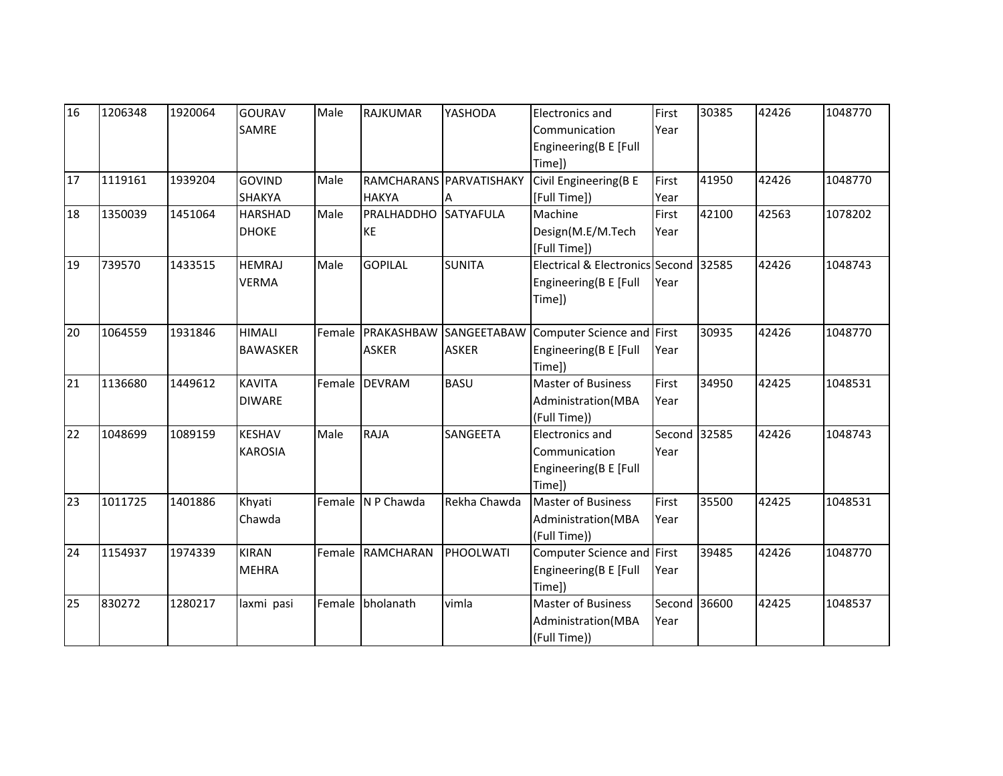| 16 | 1206348 | 1920064 | <b>GOURAV</b><br><b>SAMRE</b>    | Male | <b>RAJKUMAR</b>                   | YASHODA                     | Electronics and<br>Communication                                         | First<br>Year        | 30385 | 42426 | 1048770 |
|----|---------|---------|----------------------------------|------|-----------------------------------|-----------------------------|--------------------------------------------------------------------------|----------------------|-------|-------|---------|
|    |         |         |                                  |      |                                   |                             | Engineering(B E [Full<br>Time])                                          |                      |       |       |         |
| 17 | 1119161 | 1939204 | <b>GOVIND</b><br><b>SHAKYA</b>   | Male | <b>HAKYA</b>                      | RAMCHARANS PARVATISHAKY     | Civil Engineering(B E<br>[Full Time])                                    | First<br>Year        | 41950 | 42426 | 1048770 |
| 18 | 1350039 | 1451064 | <b>HARSHAD</b><br><b>DHOKE</b>   | Male | PRALHADDHO<br>KE                  | <b>SATYAFULA</b>            | Machine<br>Design(M.E/M.Tech<br>[Full Time])                             | First<br>Year        | 42100 | 42563 | 1078202 |
| 19 | 739570  | 1433515 | <b>HEMRAJ</b><br><b>VERMA</b>    | Male | <b>GOPILAL</b>                    | <b>SUNITA</b>               | Electrical & Electronics Second 32585<br>Engineering(B E [Full<br>Time]) | Year                 |       | 42426 | 1048743 |
| 20 | 1064559 | 1931846 | <b>HIMALI</b><br><b>BAWASKER</b> |      | Female PRAKASHBAW<br><b>ASKER</b> | SANGEETABAW<br><b>ASKER</b> | Computer Science and First<br>Engineering(B E [Full<br>Time])            | Year                 | 30935 | 42426 | 1048770 |
| 21 | 1136680 | 1449612 | <b>KAVITA</b><br><b>DIWARE</b>   |      | Female DEVRAM                     | <b>BASU</b>                 | <b>Master of Business</b><br>Administration(MBA<br>(Full Time))          | First<br>Year        | 34950 | 42425 | 1048531 |
| 22 | 1048699 | 1089159 | <b>KESHAV</b><br><b>KAROSIA</b>  | Male | <b>RAJA</b>                       | SANGEETA                    | Electronics and<br>Communication<br>Engineering(B E [Full<br>Time])      | Second 32585<br>Year |       | 42426 | 1048743 |
| 23 | 1011725 | 1401886 | Khyati<br>Chawda                 |      | Female N P Chawda                 | Rekha Chawda                | <b>Master of Business</b><br>Administration(MBA<br>(Full Time))          | First<br>Year        | 35500 | 42425 | 1048531 |
| 24 | 1154937 | 1974339 | <b>KIRAN</b><br><b>MEHRA</b>     |      | Female RAMCHARAN                  | PHOOLWATI                   | Computer Science and First<br>Engineering(B E [Full<br>Time])            | Year                 | 39485 | 42426 | 1048770 |
| 25 | 830272  | 1280217 | laxmi pasi                       |      | Female bholanath                  | vimla                       | <b>Master of Business</b><br>Administration(MBA<br>(Full Time))          | Second 36600<br>Year |       | 42425 | 1048537 |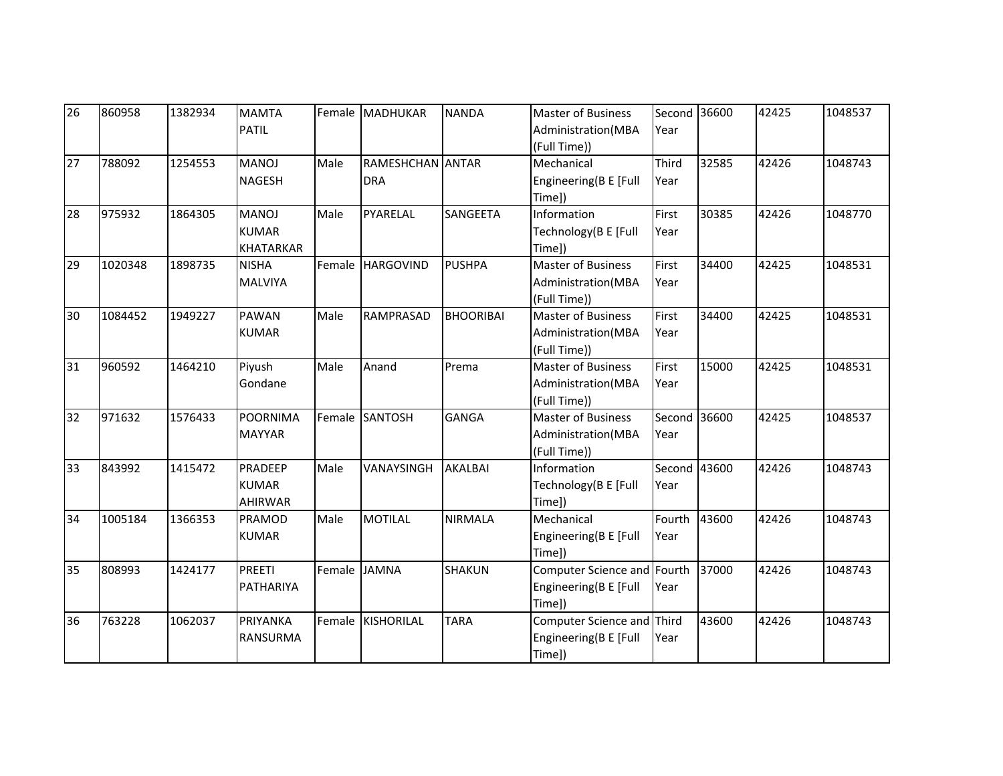| 26 | 860958  | 1382934 | <b>MAMTA</b>     |      | Female MADHUKAR   | <b>NANDA</b>     | Master of Business          | Second 36600 |       | 42425 | 1048537 |
|----|---------|---------|------------------|------|-------------------|------------------|-----------------------------|--------------|-------|-------|---------|
|    |         |         | <b>PATIL</b>     |      |                   |                  | Administration(MBA          | Year         |       |       |         |
|    |         |         |                  |      |                   |                  | (Full Time))                |              |       |       |         |
| 27 | 788092  | 1254553 | <b>MANOJ</b>     | Male | RAMESHCHAN ANTAR  |                  | Mechanical                  | Third        | 32585 | 42426 | 1048743 |
|    |         |         | <b>NAGESH</b>    |      | <b>DRA</b>        |                  | Engineering(B E [Full       | Year         |       |       |         |
|    |         |         |                  |      |                   |                  | Time])                      |              |       |       |         |
| 28 | 975932  | 1864305 | <b>MANOJ</b>     | Male | PYARELAL          | SANGEETA         | Information                 | First        | 30385 | 42426 | 1048770 |
|    |         |         | <b>KUMAR</b>     |      |                   |                  | Technology (B E [Full       | Year         |       |       |         |
|    |         |         | <b>KHATARKAR</b> |      |                   |                  | Time])                      |              |       |       |         |
| 29 | 1020348 | 1898735 | <b>NISHA</b>     |      | Female HARGOVIND  | <b>PUSHPA</b>    | <b>Master of Business</b>   | First        | 34400 | 42425 | 1048531 |
|    |         |         | <b>MALVIYA</b>   |      |                   |                  | Administration(MBA          | Year         |       |       |         |
|    |         |         |                  |      |                   |                  | (Full Time))                |              |       |       |         |
| 30 | 1084452 | 1949227 | <b>PAWAN</b>     | Male | <b>RAMPRASAD</b>  | <b>BHOORIBAI</b> | <b>Master of Business</b>   | First        | 34400 | 42425 | 1048531 |
|    |         |         | <b>KUMAR</b>     |      |                   |                  | Administration(MBA          | Year         |       |       |         |
|    |         |         |                  |      |                   |                  | (Full Time))                |              |       |       |         |
| 31 | 960592  | 1464210 | Piyush           | Male | Anand             | Prema            | <b>Master of Business</b>   | First        | 15000 | 42425 | 1048531 |
|    |         |         | Gondane          |      |                   |                  | Administration(MBA          | Year         |       |       |         |
|    |         |         |                  |      |                   |                  | (Full Time))                |              |       |       |         |
| 32 | 971632  | 1576433 | <b>POORNIMA</b>  |      | Female SANTOSH    | <b>GANGA</b>     | <b>Master of Business</b>   | Second 36600 |       | 42425 | 1048537 |
|    |         |         | <b>MAYYAR</b>    |      |                   |                  | Administration(MBA          | Year         |       |       |         |
|    |         |         |                  |      |                   |                  | (Full Time))                |              |       |       |         |
| 33 | 843992  | 1415472 | PRADEEP          | Male | VANAYSINGH        | <b>AKALBAI</b>   | Information                 | Second 43600 |       | 42426 | 1048743 |
|    |         |         | <b>KUMAR</b>     |      |                   |                  | Technology(B E [Full        | Year         |       |       |         |
|    |         |         | <b>AHIRWAR</b>   |      |                   |                  | Time])                      |              |       |       |         |
| 34 | 1005184 | 1366353 | PRAMOD           | Male | <b>MOTILAL</b>    | <b>NIRMALA</b>   | Mechanical                  | Fourth       | 43600 | 42426 | 1048743 |
|    |         |         | <b>KUMAR</b>     |      |                   |                  | Engineering(B E [Full       | Year         |       |       |         |
|    |         |         |                  |      |                   |                  | Time])                      |              |       |       |         |
| 35 | 808993  | 1424177 | <b>PREETI</b>    |      | Female JAMNA      | <b>SHAKUN</b>    | Computer Science and Fourth |              | 37000 | 42426 | 1048743 |
|    |         |         | PATHARIYA        |      |                   |                  | Engineering(B E [Full       | Year         |       |       |         |
|    |         |         |                  |      |                   |                  | Time])                      |              |       |       |         |
| 36 | 763228  | 1062037 | PRIYANKA         |      | Female KISHORILAL | <b>TARA</b>      | Computer Science and Third  |              | 43600 | 42426 | 1048743 |
|    |         |         | <b>RANSURMA</b>  |      |                   |                  | Engineering(B E [Full       | Year         |       |       |         |
|    |         |         |                  |      |                   |                  | Time])                      |              |       |       |         |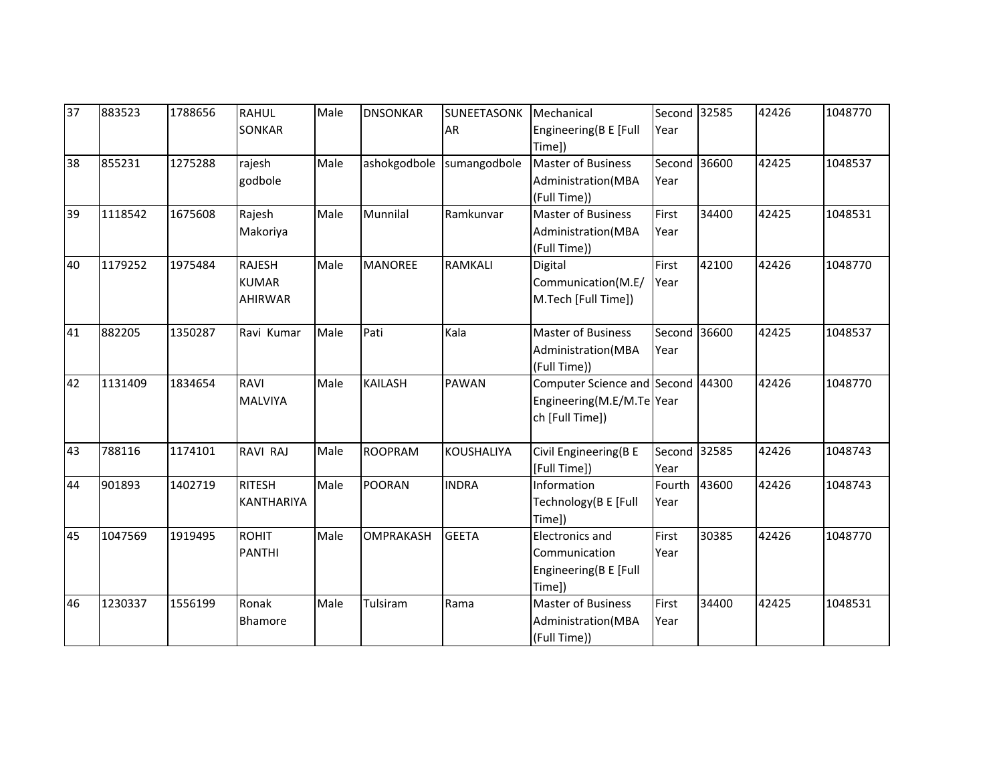| 37 | 883523  | 1788656 | <b>RAHUL</b><br><b>SONKAR</b>      | Male | <b>DNSONKAR</b>  | <b>SUNEETASONK</b><br>AR | Mechanical<br>Engineering(B E [Full<br>Time])                                     | Second 32585<br>Year |       | 42426 | 1048770 |
|----|---------|---------|------------------------------------|------|------------------|--------------------------|-----------------------------------------------------------------------------------|----------------------|-------|-------|---------|
| 38 | 855231  | 1275288 | rajesh<br>godbole                  | Male | ashokgodbole     | sumangodbole             | <b>Master of Business</b><br>Administration(MBA<br>(Full Time))                   | Second 36600<br>Year |       | 42425 | 1048537 |
| 39 | 1118542 | 1675608 | Rajesh<br>Makoriya                 | Male | Munnilal         | Ramkunvar                | <b>Master of Business</b><br>Administration(MBA<br>(Full Time))                   | First<br>Year        | 34400 | 42425 | 1048531 |
| 40 | 1179252 | 1975484 | RAJESH<br><b>KUMAR</b><br>AHIRWAR  | Male | <b>MANOREE</b>   | <b>RAMKALI</b>           | Digital<br>Communication(M.E/<br>M.Tech [Full Time])                              | First<br>Year        | 42100 | 42426 | 1048770 |
| 41 | 882205  | 1350287 | Ravi Kumar                         | Male | Pati             | Kala                     | <b>Master of Business</b><br>Administration(MBA<br>(Full Time))                   | Second 36600<br>Year |       | 42425 | 1048537 |
| 42 | 1131409 | 1834654 | RAVI<br>MALVIYA                    | Male | <b>KAILASH</b>   | <b>PAWAN</b>             | Computer Science and Second 44300<br>Engineering(M.E/M.Te Year<br>ch [Full Time]) |                      |       | 42426 | 1048770 |
| 43 | 788116  | 1174101 | RAVI RAJ                           | Male | <b>ROOPRAM</b>   | <b>KOUSHALIYA</b>        | Civil Engineering(B E<br>[Full Time])                                             | Second 32585<br>Year |       | 42426 | 1048743 |
| 44 | 901893  | 1402719 | <b>RITESH</b><br><b>KANTHARIYA</b> | Male | POORAN           | <b>INDRA</b>             | Information<br>Technology(B E [Full<br>Time])                                     | Fourth<br>Year       | 43600 | 42426 | 1048743 |
| 45 | 1047569 | 1919495 | <b>ROHIT</b><br><b>PANTHI</b>      | Male | <b>OMPRAKASH</b> | <b>GEETA</b>             | <b>Electronics and</b><br>Communication<br>Engineering(B E [Full<br>Time])        | First<br>Year        | 30385 | 42426 | 1048770 |
| 46 | 1230337 | 1556199 | Ronak<br><b>Bhamore</b>            | Male | Tulsiram         | Rama                     | <b>Master of Business</b><br>Administration(MBA<br>(Full Time))                   | First<br>Year        | 34400 | 42425 | 1048531 |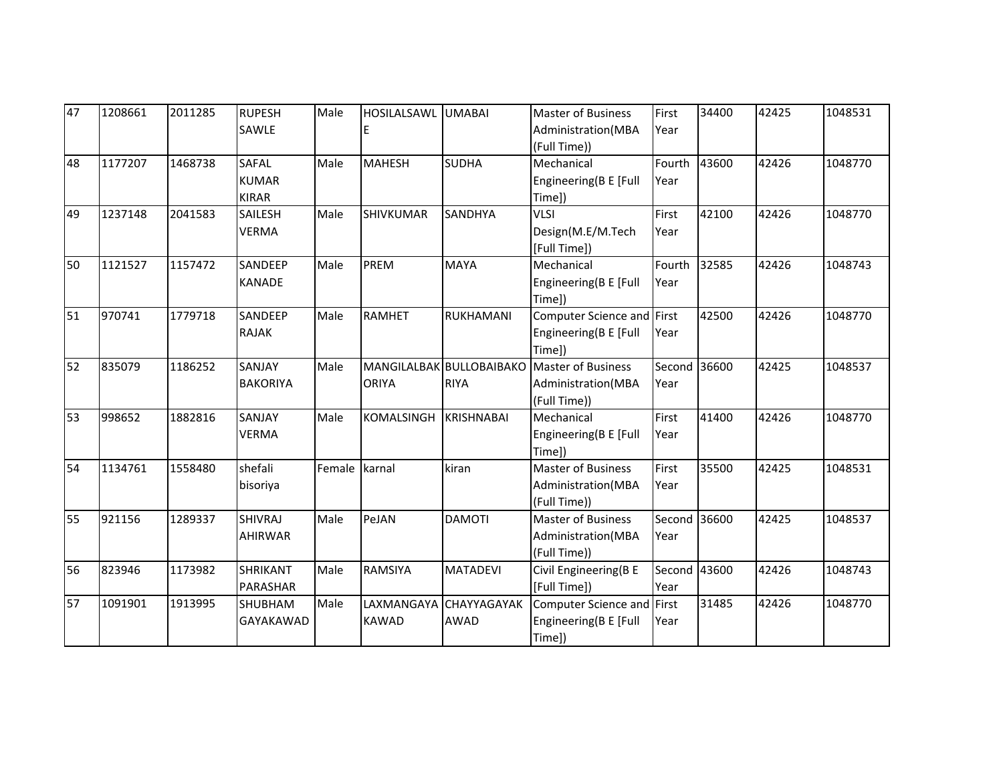| 47 | 1208661 | 2011285 | <b>RUPESH</b>   | Male   | HOSILALSAWL UMABAI |                          | <b>Master of Business</b>  | First        | 34400 | 42425 | 1048531 |
|----|---------|---------|-----------------|--------|--------------------|--------------------------|----------------------------|--------------|-------|-------|---------|
|    |         |         | SAWLE           |        |                    |                          | Administration(MBA         | Year         |       |       |         |
|    |         |         |                 |        |                    |                          | (Full Time))               |              |       |       |         |
| 48 | 1177207 | 1468738 | <b>SAFAL</b>    | Male   | <b>MAHESH</b>      | <b>SUDHA</b>             | Mechanical                 | Fourth       | 43600 | 42426 | 1048770 |
|    |         |         | <b>KUMAR</b>    |        |                    |                          | Engineering(B E [Full      | Year         |       |       |         |
|    |         |         | <b>KIRAR</b>    |        |                    |                          | Time])                     |              |       |       |         |
| 49 | 1237148 | 2041583 | SAILESH         | Male   | <b>SHIVKUMAR</b>   | SANDHYA                  | <b>VLSI</b>                | First        | 42100 | 42426 | 1048770 |
|    |         |         | <b>VERMA</b>    |        |                    |                          | Design(M.E/M.Tech          | Year         |       |       |         |
|    |         |         |                 |        |                    |                          | [Full Time])               |              |       |       |         |
| 50 | 1121527 | 1157472 | SANDEEP         | Male   | <b>PREM</b>        | <b>MAYA</b>              | Mechanical                 | Fourth       | 32585 | 42426 | 1048743 |
|    |         |         | <b>KANADE</b>   |        |                    |                          | Engineering(B E [Full      | Year         |       |       |         |
|    |         |         |                 |        |                    |                          | Time])                     |              |       |       |         |
| 51 | 970741  | 1779718 | SANDEEP         | Male   | <b>RAMHET</b>      | RUKHAMANI                | Computer Science and First |              | 42500 | 42426 | 1048770 |
|    |         |         | <b>RAJAK</b>    |        |                    |                          | Engineering(B E [Full      | Year         |       |       |         |
|    |         |         |                 |        |                    |                          | Time])                     |              |       |       |         |
| 52 | 835079  | 1186252 | SANJAY          | Male   |                    | MANGILALBAK BULLOBAIBAKO | <b>Master of Business</b>  | Second 36600 |       | 42425 | 1048537 |
|    |         |         | <b>BAKORIYA</b> |        | <b>ORIYA</b>       | <b>RIYA</b>              | Administration(MBA         | Year         |       |       |         |
|    |         |         |                 |        |                    |                          | (Full Time))               |              |       |       |         |
| 53 | 998652  | 1882816 | SANJAY          | Male   | KOMALSINGH         | <b>KRISHNABAI</b>        | Mechanical                 | First        | 41400 | 42426 | 1048770 |
|    |         |         | <b>VERMA</b>    |        |                    |                          | Engineering(B E [Full      | Year         |       |       |         |
|    |         |         |                 |        |                    |                          | Time])                     |              |       |       |         |
| 54 | 1134761 | 1558480 | shefali         | Female | karnal             | kiran                    | <b>Master of Business</b>  | First        | 35500 | 42425 | 1048531 |
|    |         |         | bisoriya        |        |                    |                          | Administration(MBA         | Year         |       |       |         |
|    |         |         |                 |        |                    |                          | (Full Time))               |              |       |       |         |
| 55 | 921156  | 1289337 | <b>SHIVRAJ</b>  | Male   | PeJAN              | <b>DAMOTI</b>            | <b>Master of Business</b>  | Second 36600 |       | 42425 | 1048537 |
|    |         |         | <b>AHIRWAR</b>  |        |                    |                          | Administration(MBA         | Year         |       |       |         |
|    |         |         |                 |        |                    |                          | (Full Time))               |              |       |       |         |
| 56 | 823946  | 1173982 | <b>SHRIKANT</b> | Male   | <b>RAMSIYA</b>     | <b>MATADEVI</b>          | Civil Engineering(B E      | Second 43600 |       | 42426 | 1048743 |
|    |         |         | <b>PARASHAR</b> |        |                    |                          | [Full Time])               | Year         |       |       |         |
| 57 | 1091901 | 1913995 | <b>SHUBHAM</b>  | Male   | <b>LAXMANGAYA</b>  | CHAYYAGAYAK              | Computer Science and First |              | 31485 | 42426 | 1048770 |
|    |         |         | GAYAKAWAD       |        | <b>KAWAD</b>       | <b>AWAD</b>              | Engineering(B E [Full      | Year         |       |       |         |
|    |         |         |                 |        |                    |                          | Time])                     |              |       |       |         |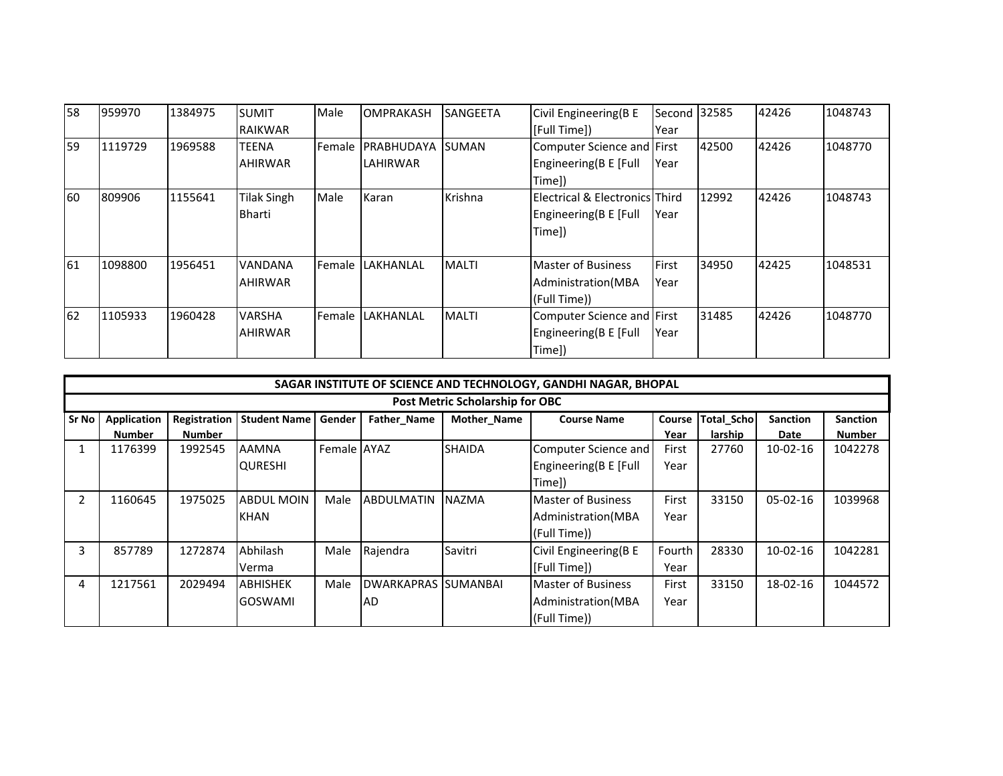| I58 | 959970  | 1384975 | <b>SUMIT</b>   | Male           | <b>OMPRAKASH</b>          | <b>SANGEETA</b> | Civil Engineering(B E          | Second 32585 |       | 42426 | 1048743 |
|-----|---------|---------|----------------|----------------|---------------------------|-----------------|--------------------------------|--------------|-------|-------|---------|
|     |         |         | RAIKWAR        |                |                           |                 | [Full Time])                   | Year         |       |       |         |
| 59  | 1119729 | 1969588 | <b>TEENA</b>   | <b>Female</b>  | <b>IPRABHUDAYA ISUMAN</b> |                 | Computer Science and First     |              | 42500 | 42426 | 1048770 |
|     |         |         | <b>AHIRWAR</b> |                | LAHIRWAR                  |                 | Engineering(B E [Full          | Year         |       |       |         |
|     |         |         |                |                |                           |                 | Time])                         |              |       |       |         |
| 60  | 809906  | 1155641 | Tilak Singh    | Male           | Karan                     | Krishna         | Electrical & Electronics Third |              | 12992 | 42426 | 1048743 |
|     |         |         | Bharti         |                |                           |                 | Engineering(B E [Full          | Year         |       |       |         |
|     |         |         |                |                |                           |                 | Time])                         |              |       |       |         |
|     |         |         |                |                |                           |                 |                                |              |       |       |         |
| 61  | 1098800 | 1956451 | <b>VANDANA</b> | <b>Female</b>  | LAKHANLAL                 | <b>MALTI</b>    | <b>Master of Business</b>      | First        | 34950 | 42425 | 1048531 |
|     |         |         | <b>AHIRWAR</b> |                |                           |                 | Administration (MBA            | Year         |       |       |         |
|     |         |         |                |                |                           |                 | (Full Time))                   |              |       |       |         |
| 62  | 1105933 | 1960428 | <b>VARSHA</b>  | <b>IFemale</b> | LAKHANLAL                 | <b>MALTI</b>    | Computer Science and First     |              | 31485 | 42426 | 1048770 |
|     |         |         | <b>AHIRWAR</b> |                |                           |                 | Engineering(B E [Full          | Year         |       |       |         |
|     |         |         |                |                |                           |                 | Time])                         |              |       |       |         |

|              | SAGAR INSTITUTE OF SCIENCE AND TECHNOLOGY, GANDHI NAGAR, BHOPAL |               |                     |             |                            |               |                           |        |                   |                 |                 |  |  |  |
|--------------|-----------------------------------------------------------------|---------------|---------------------|-------------|----------------------------|---------------|---------------------------|--------|-------------------|-----------------|-----------------|--|--|--|
|              | Post Metric Scholarship for OBC                                 |               |                     |             |                            |               |                           |        |                   |                 |                 |  |  |  |
| <b>Sr No</b> | <b>Application</b>                                              | Registration  | <b>Student Name</b> | Gender      | Father_Name                | Mother_Name   | <b>Course Name</b>        | Course | <b>Total_Scho</b> | <b>Sanction</b> | <b>Sanction</b> |  |  |  |
|              | <b>Number</b>                                                   | <b>Number</b> |                     |             |                            |               |                           | Year   | larship           | Date            | Number          |  |  |  |
|              | 1176399                                                         | 1992545       | <b>AAMNA</b>        | Female AYAZ |                            | <b>SHAIDA</b> | Computer Science and      | First  | 27760             | $10-02-16$      | 1042278         |  |  |  |
|              |                                                                 |               | <b>QURESHI</b>      |             |                            |               | Engineering(B E [Full     | Year   |                   |                 |                 |  |  |  |
|              |                                                                 |               |                     |             |                            |               | Time])                    |        |                   |                 |                 |  |  |  |
|              | 1160645                                                         | 1975025       | <b>ABDUL MOIN</b>   | Male        | <b>ABDULMATIN</b>          | <b>INAZMA</b> | <b>Master of Business</b> | First  | 33150             | $05-02-16$      | 1039968         |  |  |  |
|              |                                                                 |               | <b>KHAN</b>         |             |                            |               | Administration (MBA       | Year   |                   |                 |                 |  |  |  |
|              |                                                                 |               |                     |             |                            |               | (Full Time))              |        |                   |                 |                 |  |  |  |
| 3            | 857789                                                          | 1272874       | Abhilash            | Male        | Rajendra                   | Savitri       | Civil Engineering(B E     | Fourth | 28330             | $10-02-16$      | 1042281         |  |  |  |
|              |                                                                 |               | Verma               |             |                            |               | [Full Time])              | Year   |                   |                 |                 |  |  |  |
| 4            | 1217561                                                         | 2029494       | <b>ABHISHEK</b>     | Male        | <b>DWARKAPRAS SUMANBAL</b> |               | <b>Master of Business</b> | First  | 33150             | 18-02-16        | 1044572         |  |  |  |
|              |                                                                 |               | <b>GOSWAMI</b>      |             | <b>AD</b>                  |               | Administration (MBA       | Year   |                   |                 |                 |  |  |  |
|              |                                                                 |               |                     |             |                            |               | (Full Time))              |        |                   |                 |                 |  |  |  |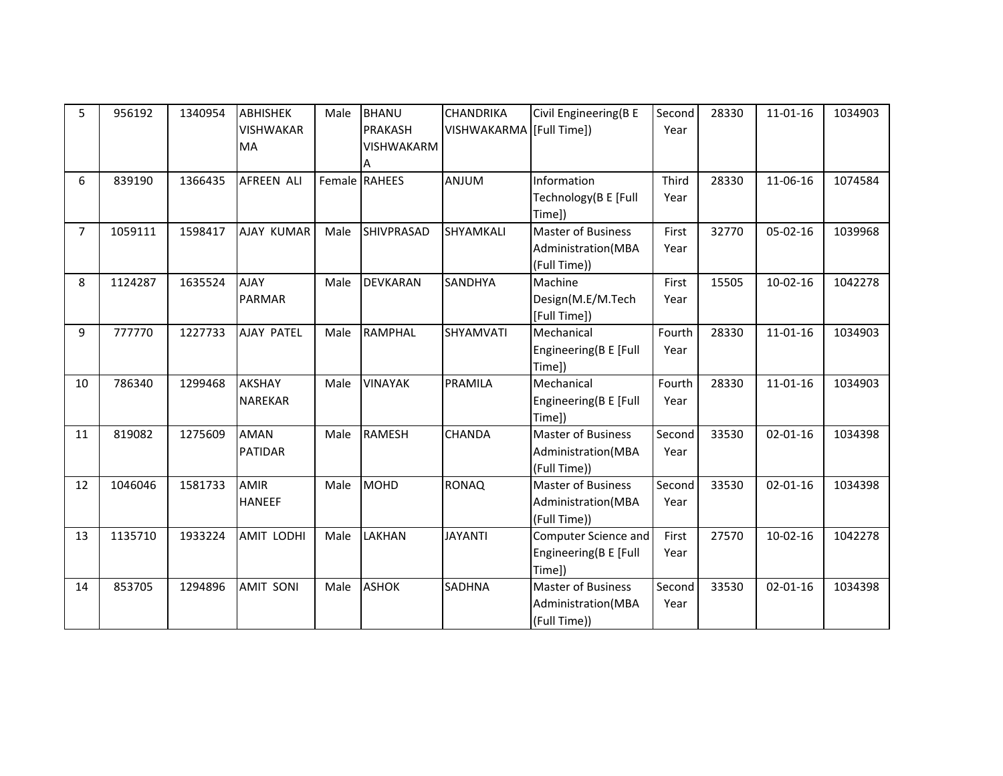| 5              | 956192  | 1340954 | <b>ABHISHEK</b>   | Male | <b>BHANU</b>      | <b>CHANDRIKA</b>         | Civil Engineering(B E     | Second | 28330 | $11 - 01 - 16$ | 1034903 |
|----------------|---------|---------|-------------------|------|-------------------|--------------------------|---------------------------|--------|-------|----------------|---------|
|                |         |         | <b>VISHWAKAR</b>  |      | <b>PRAKASH</b>    | VISHWAKARMA (Full Time)) |                           | Year   |       |                |         |
|                |         |         | <b>MA</b>         |      | <b>VISHWAKARM</b> |                          |                           |        |       |                |         |
|                |         |         |                   |      | Α                 |                          |                           |        |       |                |         |
| 6              | 839190  | 1366435 | <b>AFREEN ALI</b> |      | Female RAHEES     | <b>ANJUM</b>             | Information               | Third  | 28330 | 11-06-16       | 1074584 |
|                |         |         |                   |      |                   |                          | Technology(B E [Full      | Year   |       |                |         |
|                |         |         |                   |      |                   |                          | Time])                    |        |       |                |         |
| $\overline{7}$ | 1059111 | 1598417 | <b>AJAY KUMAR</b> | Male | SHIVPRASAD        | SHYAMKALI                | <b>Master of Business</b> | First  | 32770 | $05 - 02 - 16$ | 1039968 |
|                |         |         |                   |      |                   |                          | Administration(MBA        | Year   |       |                |         |
|                |         |         |                   |      |                   |                          | (Full Time))              |        |       |                |         |
| 8              | 1124287 | 1635524 | <b>AJAY</b>       | Male | <b>DEVKARAN</b>   | <b>SANDHYA</b>           | Machine                   | First  | 15505 | $10-02-16$     | 1042278 |
|                |         |         | <b>PARMAR</b>     |      |                   |                          | Design(M.E/M.Tech         | Year   |       |                |         |
|                |         |         |                   |      |                   |                          | [Full Time])              |        |       |                |         |
| 9              | 777770  | 1227733 | <b>AJAY PATEL</b> | Male | <b>RAMPHAL</b>    | SHYAMVATI                | Mechanical                | Fourth | 28330 | $11 - 01 - 16$ | 1034903 |
|                |         |         |                   |      |                   |                          | Engineering(B E [Full     | Year   |       |                |         |
|                |         |         |                   |      |                   |                          | Time])                    |        |       |                |         |
| 10             | 786340  | 1299468 | <b>AKSHAY</b>     | Male | <b>VINAYAK</b>    | PRAMILA                  | Mechanical                | Fourth | 28330 | $11 - 01 - 16$ | 1034903 |
|                |         |         | NAREKAR           |      |                   |                          | Engineering(B E [Full     | Year   |       |                |         |
|                |         |         |                   |      |                   |                          | Time])                    |        |       |                |         |
| 11             | 819082  | 1275609 | <b>AMAN</b>       | Male | <b>RAMESH</b>     | <b>CHANDA</b>            | <b>Master of Business</b> | Second | 33530 | $02 - 01 - 16$ | 1034398 |
|                |         |         | <b>PATIDAR</b>    |      |                   |                          | Administration(MBA        | Year   |       |                |         |
|                |         |         |                   |      |                   |                          | (Full Time))              |        |       |                |         |
| 12             | 1046046 | 1581733 | <b>AMIR</b>       | Male | <b>MOHD</b>       | <b>RONAQ</b>             | <b>Master of Business</b> | Second | 33530 | $02 - 01 - 16$ | 1034398 |
|                |         |         | <b>HANEEF</b>     |      |                   |                          | Administration(MBA        | Year   |       |                |         |
|                |         |         |                   |      |                   |                          | (Full Time))              |        |       |                |         |
| 13             | 1135710 | 1933224 | <b>AMIT LODHI</b> | Male | LAKHAN            | <b>JAYANTI</b>           | Computer Science and      | First  | 27570 | $10-02-16$     | 1042278 |
|                |         |         |                   |      |                   |                          | Engineering(B E [Full     | Year   |       |                |         |
|                |         |         |                   |      |                   |                          | Time])                    |        |       |                |         |
| 14             | 853705  | 1294896 | <b>AMIT SONI</b>  | Male | <b>ASHOK</b>      | <b>SADHNA</b>            | <b>Master of Business</b> | Second | 33530 | $02 - 01 - 16$ | 1034398 |
|                |         |         |                   |      |                   |                          | Administration(MBA        | Year   |       |                |         |
|                |         |         |                   |      |                   |                          | (Full Time))              |        |       |                |         |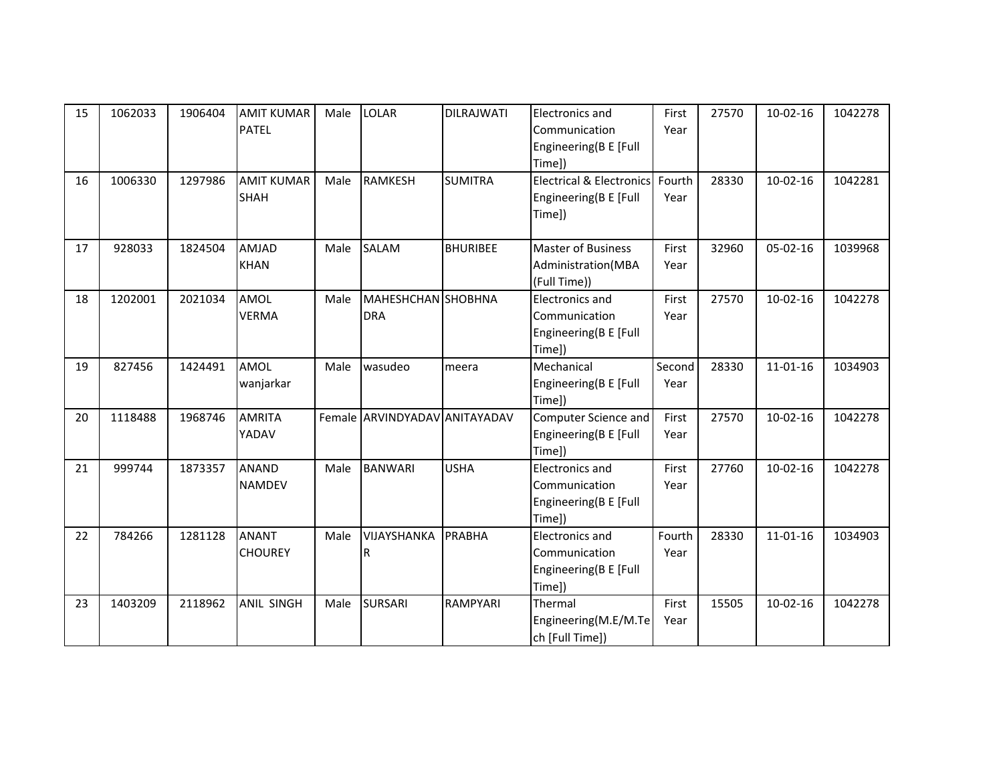| 15 | 1062033 | 1906404 | <b>AMIT KUMAR</b><br><b>PATEL</b> | Male | <b>LOLAR</b>                            | <b>DILRAJWATI</b> | <b>Electronics and</b><br>Communication<br>Engineering(B E [Full<br>Time]) | First<br>Year  | 27570 | $10-02-16$     | 1042278 |
|----|---------|---------|-----------------------------------|------|-----------------------------------------|-------------------|----------------------------------------------------------------------------|----------------|-------|----------------|---------|
| 16 | 1006330 | 1297986 | <b>AMIT KUMAR</b><br><b>SHAH</b>  | Male | <b>RAMKESH</b>                          | <b>SUMITRA</b>    | <b>Electrical &amp; Electronics</b><br>Engineering(B E [Full<br>Time])     | Fourth<br>Year | 28330 | $10-02-16$     | 1042281 |
| 17 | 928033  | 1824504 | AMJAD<br><b>KHAN</b>              | Male | <b>SALAM</b>                            | <b>BHURIBEE</b>   | <b>Master of Business</b><br>Administration(MBA<br>(Full Time))            | First<br>Year  | 32960 | $05 - 02 - 16$ | 1039968 |
| 18 | 1202001 | 2021034 | AMOL<br><b>VERMA</b>              | Male | <b>MAHESHCHAN</b> SHOBHNA<br><b>DRA</b> |                   | <b>Electronics and</b><br>Communication<br>Engineering(B E [Full<br>Time]) | First<br>Year  | 27570 | $10-02-16$     | 1042278 |
| 19 | 827456  | 1424491 | AMOL<br>wanjarkar                 | Male | wasudeo                                 | meera             | Mechanical<br>Engineering(B E [Full<br>Time])                              | Second<br>Year | 28330 | $11 - 01 - 16$ | 1034903 |
| 20 | 1118488 | 1968746 | <b>AMRITA</b><br>YADAV            |      | Female ARVINDYADAV ANITAYADAV           |                   | Computer Science and<br>Engineering(B E [Full<br>Time])                    | First<br>Year  | 27570 | $10-02-16$     | 1042278 |
| 21 | 999744  | 1873357 | ANAND<br><b>NAMDEV</b>            | Male | <b>BANWARI</b>                          | <b>USHA</b>       | Electronics and<br>Communication<br>Engineering(B E [Full<br>Time])        | First<br>Year  | 27760 | $10-02-16$     | 1042278 |
| 22 | 784266  | 1281128 | <b>ANANT</b><br><b>CHOUREY</b>    | Male | VIJAYSHANKA<br>R                        | <b>PRABHA</b>     | <b>Electronics and</b><br>Communication<br>Engineering(B E [Full<br>Time]) | Fourth<br>Year | 28330 | $11 - 01 - 16$ | 1034903 |
| 23 | 1403209 | 2118962 | ANIL SINGH                        | Male | <b>SURSARI</b>                          | RAMPYARI          | Thermal<br>Engineering(M.E/M.Te<br>ch [Full Time])                         | First<br>Year  | 15505 | $10-02-16$     | 1042278 |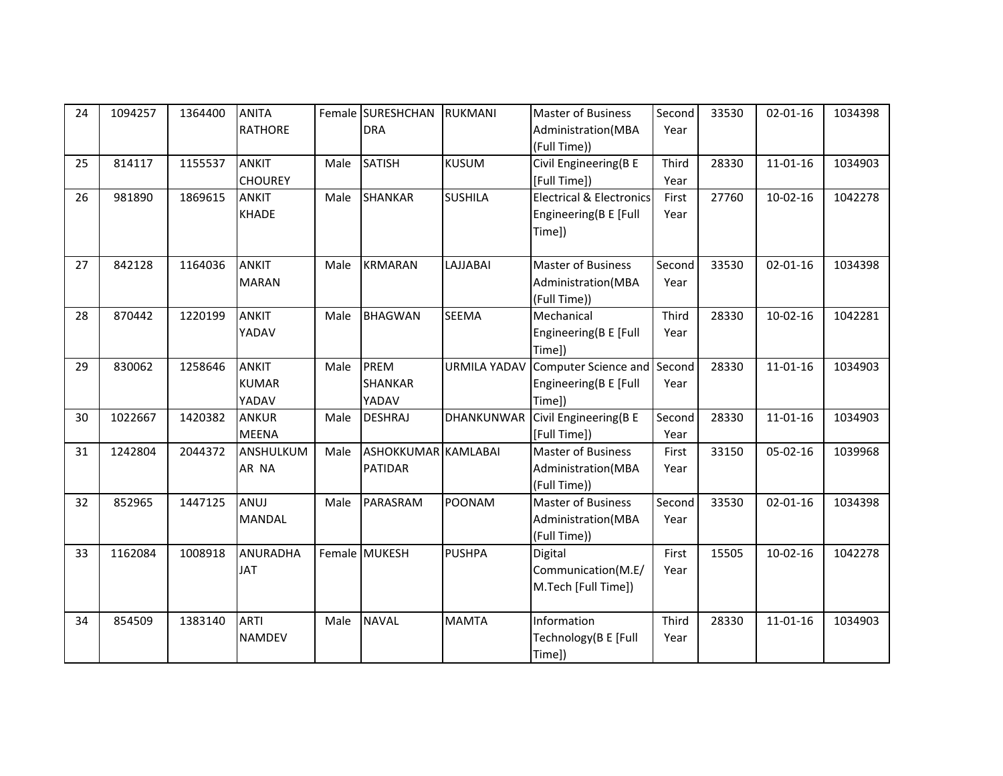| 24 | 1094257 | 1364400 | <b>ANITA</b>    |      | Female SURESHCHAN   | <b>RUKMANI</b>      | <b>Master of Business</b>           | Second | 33530 | $02 - 01 - 16$ | 1034398 |
|----|---------|---------|-----------------|------|---------------------|---------------------|-------------------------------------|--------|-------|----------------|---------|
|    |         |         | <b>RATHORE</b>  |      | <b>DRA</b>          |                     | Administration(MBA                  | Year   |       |                |         |
|    |         |         |                 |      |                     |                     | (Full Time))                        |        |       |                |         |
| 25 | 814117  | 1155537 | <b>ANKIT</b>    | Male | <b>SATISH</b>       | <b>KUSUM</b>        | Civil Engineering(B E               | Third  | 28330 | $11 - 01 - 16$ | 1034903 |
|    |         |         | <b>CHOUREY</b>  |      |                     |                     | [Full Time])                        | Year   |       |                |         |
| 26 | 981890  | 1869615 | <b>ANKIT</b>    | Male | <b>SHANKAR</b>      | <b>SUSHILA</b>      | <b>Electrical &amp; Electronics</b> | First  | 27760 | $10-02-16$     | 1042278 |
|    |         |         | <b>KHADE</b>    |      |                     |                     | Engineering(B E [Full               | Year   |       |                |         |
|    |         |         |                 |      |                     |                     | Time])                              |        |       |                |         |
|    |         |         |                 |      |                     |                     |                                     |        |       |                |         |
| 27 | 842128  | 1164036 | <b>ANKIT</b>    | Male | <b>KRMARAN</b>      | LAJJABAI            | <b>Master of Business</b>           | Second | 33530 | $02 - 01 - 16$ | 1034398 |
|    |         |         | <b>MARAN</b>    |      |                     |                     | Administration(MBA                  | Year   |       |                |         |
|    |         |         |                 |      |                     |                     | (Full Time))                        |        |       |                |         |
| 28 | 870442  | 1220199 | <b>ANKIT</b>    | Male | <b>BHAGWAN</b>      | <b>SEEMA</b>        | Mechanical                          | Third  | 28330 | $10-02-16$     | 1042281 |
|    |         |         | YADAV           |      |                     |                     | Engineering(B E [Full               | Year   |       |                |         |
|    |         |         |                 |      |                     |                     | Time])                              |        |       |                |         |
| 29 | 830062  | 1258646 | <b>ANKIT</b>    | Male | PREM                | <b>URMILA YADAV</b> | Computer Science and                | Second | 28330 | $11 - 01 - 16$ | 1034903 |
|    |         |         | <b>KUMAR</b>    |      | <b>SHANKAR</b>      |                     | Engineering(B E [Full               | Year   |       |                |         |
|    |         |         | YADAV           |      | YADAV               |                     | Time])                              |        |       |                |         |
| 30 | 1022667 | 1420382 | <b>ANKUR</b>    | Male | <b>DESHRAJ</b>      | <b>DHANKUNWAR</b>   | Civil Engineering(B E               | Second | 28330 | $11 - 01 - 16$ | 1034903 |
|    |         |         | <b>MEENA</b>    |      |                     |                     | [Full Time])                        | Year   |       |                |         |
| 31 | 1242804 | 2044372 | ANSHULKUM       | Male | ASHOKKUMAR KAMLABAI |                     | <b>Master of Business</b>           | First  | 33150 | 05-02-16       | 1039968 |
|    |         |         | AR NA           |      | <b>PATIDAR</b>      |                     | Administration(MBA                  | Year   |       |                |         |
|    |         |         |                 |      |                     |                     | (Full Time))                        |        |       |                |         |
| 32 | 852965  | 1447125 | <b>ANUJ</b>     | Male | PARASRAM            | <b>POONAM</b>       | <b>Master of Business</b>           | Second | 33530 | $02 - 01 - 16$ | 1034398 |
|    |         |         | <b>MANDAL</b>   |      |                     |                     | Administration(MBA                  | Year   |       |                |         |
|    |         |         |                 |      |                     |                     | (Full Time))                        |        |       |                |         |
| 33 | 1162084 | 1008918 | <b>ANURADHA</b> |      | Female MUKESH       | <b>PUSHPA</b>       | Digital                             | First  | 15505 | $10-02-16$     | 1042278 |
|    |         |         | <b>JAT</b>      |      |                     |                     | Communication(M.E/                  | Year   |       |                |         |
|    |         |         |                 |      |                     |                     | M.Tech [Full Time])                 |        |       |                |         |
|    |         |         |                 |      |                     |                     |                                     |        |       |                |         |
| 34 | 854509  | 1383140 | <b>ARTI</b>     | Male | <b>NAVAL</b>        | <b>MAMTA</b>        | Information                         | Third  | 28330 | 11-01-16       | 1034903 |
|    |         |         | NAMDEV          |      |                     |                     | Technology (B E [Full               | Year   |       |                |         |
|    |         |         |                 |      |                     |                     | Time])                              |        |       |                |         |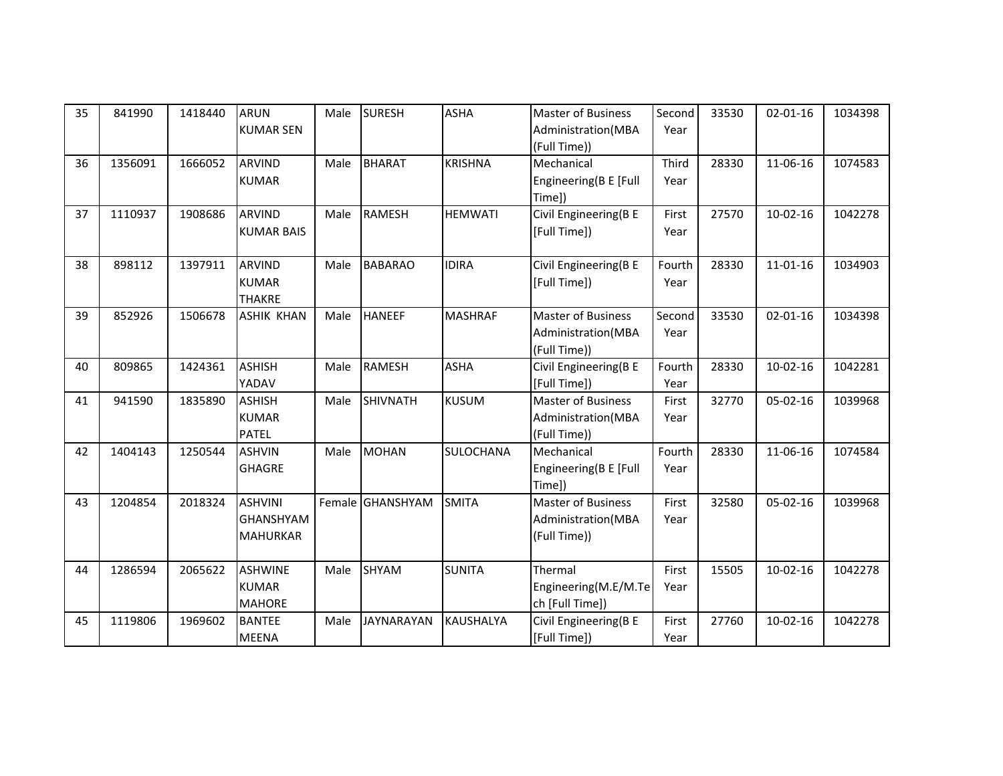| 35 | 841990  | 1418440 | <b>ARUN</b><br><b>KUMAR SEN</b> | Male | <b>SURESH</b>     | <b>ASHA</b>      | Master of Business<br>Administration(MBA | Second<br>Year | 33530 | $02 - 01 - 16$ | 1034398 |
|----|---------|---------|---------------------------------|------|-------------------|------------------|------------------------------------------|----------------|-------|----------------|---------|
|    |         |         |                                 |      |                   |                  | (Full Time))                             |                |       |                |         |
| 36 | 1356091 | 1666052 | <b>ARVIND</b>                   | Male | <b>BHARAT</b>     | <b>KRISHNA</b>   | Mechanical                               | Third          | 28330 | 11-06-16       | 1074583 |
|    |         |         | <b>KUMAR</b>                    |      |                   |                  | Engineering(B E [Full                    | Year           |       |                |         |
|    |         |         |                                 |      |                   |                  | Time])                                   |                |       |                |         |
| 37 | 1110937 | 1908686 | <b>ARVIND</b>                   | Male | <b>RAMESH</b>     | <b>HEMWATI</b>   | Civil Engineering(B E                    | First          | 27570 | $10-02-16$     | 1042278 |
|    |         |         | <b>KUMAR BAIS</b>               |      |                   |                  | [Full Time])                             | Year           |       |                |         |
| 38 | 898112  | 1397911 | <b>ARVIND</b>                   | Male | <b>BABARAO</b>    | <b>IDIRA</b>     | Civil Engineering(B E                    | Fourth         | 28330 | $11 - 01 - 16$ | 1034903 |
|    |         |         | <b>KUMAR</b>                    |      |                   |                  | [Full Time])                             | Year           |       |                |         |
|    |         |         | <b>THAKRE</b>                   |      |                   |                  |                                          |                |       |                |         |
| 39 | 852926  | 1506678 | <b>ASHIK KHAN</b>               | Male | <b>HANEEF</b>     | <b>MASHRAF</b>   | <b>Master of Business</b>                | Second         | 33530 | $02 - 01 - 16$ | 1034398 |
|    |         |         |                                 |      |                   |                  | Administration(MBA                       | Year           |       |                |         |
|    |         |         |                                 |      |                   |                  | (Full Time))                             |                |       |                |         |
| 40 | 809865  | 1424361 | <b>ASHISH</b>                   | Male | <b>RAMESH</b>     | <b>ASHA</b>      | Civil Engineering(B E                    | Fourth         | 28330 | $10-02-16$     | 1042281 |
|    |         |         | YADAV                           |      |                   |                  | [Full Time])                             | Year           |       |                |         |
| 41 | 941590  | 1835890 | <b>ASHISH</b>                   | Male | <b>SHIVNATH</b>   | <b>KUSUM</b>     | <b>Master of Business</b>                | First          | 32770 | 05-02-16       | 1039968 |
|    |         |         | <b>KUMAR</b>                    |      |                   |                  | Administration (MBA                      | Year           |       |                |         |
|    |         |         | <b>PATEL</b>                    |      |                   |                  | (Full Time))<br>Mechanical               |                |       |                |         |
| 42 | 1404143 | 1250544 | <b>ASHVIN</b>                   | Male | <b>MOHAN</b>      | <b>SULOCHANA</b> |                                          | Fourth         | 28330 | 11-06-16       | 1074584 |
|    |         |         | <b>GHAGRE</b>                   |      |                   |                  | Engineering(B E [Full<br>Time])          | Year           |       |                |         |
| 43 | 1204854 | 2018324 | <b>ASHVINI</b>                  |      | Female GHANSHYAM  | <b>SMITA</b>     | <b>Master of Business</b>                | First          | 32580 | $05-02-16$     | 1039968 |
|    |         |         | <b>GHANSHYAM</b>                |      |                   |                  | Administration(MBA                       | Year           |       |                |         |
|    |         |         | <b>MAHURKAR</b>                 |      |                   |                  | (Full Time))                             |                |       |                |         |
|    |         |         |                                 |      |                   |                  |                                          |                |       |                |         |
| 44 | 1286594 | 2065622 | <b>ASHWINE</b>                  | Male | SHYAM             | <b>SUNITA</b>    | Thermal                                  | First          | 15505 | $10-02-16$     | 1042278 |
|    |         |         | <b>KUMAR</b>                    |      |                   |                  | Engineering(M.E/M.Te                     | Year           |       |                |         |
|    |         |         | <b>MAHORE</b>                   |      |                   |                  | ch [Full Time])                          |                |       |                |         |
| 45 | 1119806 | 1969602 | <b>BANTEE</b>                   | Male | <b>JAYNARAYAN</b> | <b>KAUSHALYA</b> | Civil Engineering(B E                    | First          | 27760 | $10-02-16$     | 1042278 |
|    |         |         | <b>MEENA</b>                    |      |                   |                  | [Full Time])                             | Year           |       |                |         |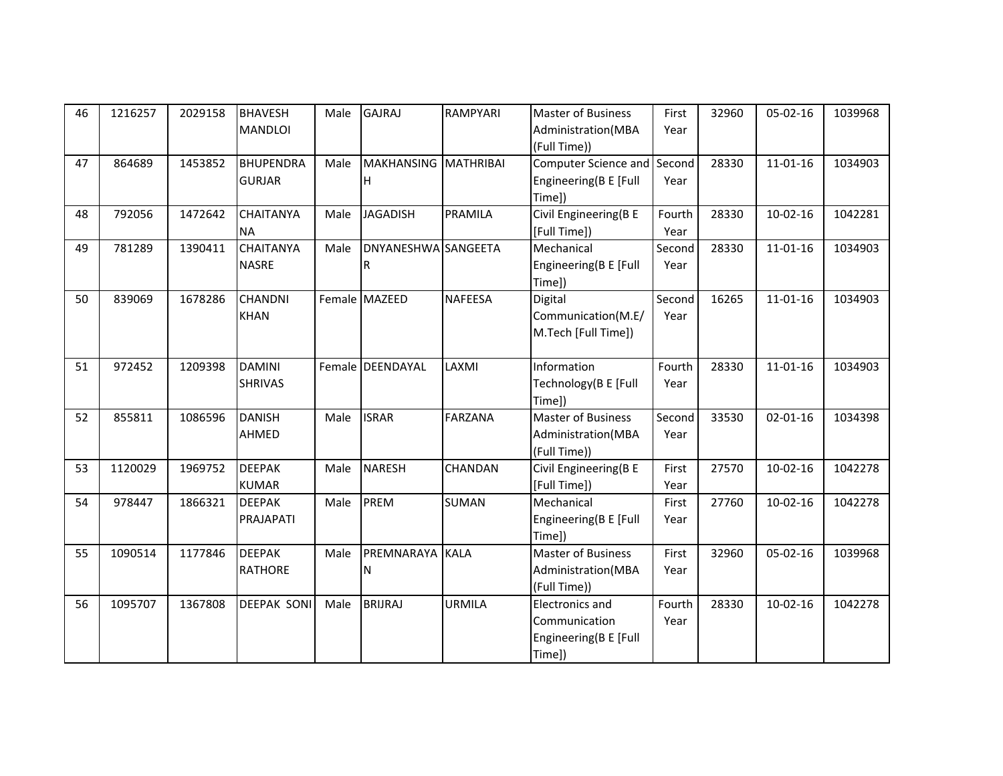| 46 | 1216257 | 2029158 | <b>BHAVESH</b>     | Male | <b>GAJRAJ</b>        | RAMPYARI       | <b>Master of Business</b>   | First  | 32960 | 05-02-16       | 1039968 |
|----|---------|---------|--------------------|------|----------------------|----------------|-----------------------------|--------|-------|----------------|---------|
|    |         |         | <b>MANDLOI</b>     |      |                      |                | Administration(MBA          | Year   |       |                |         |
|    |         |         |                    |      |                      |                | (Full Time))                |        |       |                |         |
| 47 | 864689  | 1453852 | <b>BHUPENDRA</b>   | Male | MAKHANSING MATHRIBAI |                | Computer Science and Second |        | 28330 | $11 - 01 - 16$ | 1034903 |
|    |         |         | <b>GURJAR</b>      |      | н                    |                | Engineering(B E [Full       | Year   |       |                |         |
|    |         |         |                    |      |                      |                | Time])                      |        |       |                |         |
| 48 | 792056  | 1472642 | <b>CHAITANYA</b>   | Male | <b>JAGADISH</b>      | PRAMILA        | Civil Engineering(B E       | Fourth | 28330 | $10-02-16$     | 1042281 |
|    |         |         | <b>NA</b>          |      |                      |                | [Full Time])                | Year   |       |                |         |
| 49 | 781289  | 1390411 | <b>CHAITANYA</b>   | Male | DNYANESHWA SANGEETA  |                | Mechanical                  | Second | 28330 | $11 - 01 - 16$ | 1034903 |
|    |         |         | <b>NASRE</b>       |      | R                    |                | Engineering(B E [Full       | Year   |       |                |         |
|    |         |         |                    |      |                      |                | Time])                      |        |       |                |         |
| 50 | 839069  | 1678286 | <b>CHANDNI</b>     |      | Female MAZEED        | <b>NAFEESA</b> | Digital                     | Second | 16265 | $11 - 01 - 16$ | 1034903 |
|    |         |         | <b>KHAN</b>        |      |                      |                | Communication(M.E/          | Year   |       |                |         |
|    |         |         |                    |      |                      |                | M.Tech [Full Time])         |        |       |                |         |
|    |         |         |                    |      |                      |                |                             |        |       |                |         |
| 51 | 972452  | 1209398 | <b>DAMINI</b>      |      | Female DEENDAYAL     | LAXMI          | Information                 | Fourth | 28330 | $11 - 01 - 16$ | 1034903 |
|    |         |         | <b>SHRIVAS</b>     |      |                      |                | Technology(B E [Full        | Year   |       |                |         |
|    |         |         |                    |      |                      |                | Time])                      |        |       |                |         |
| 52 | 855811  | 1086596 | <b>DANISH</b>      | Male | <b>ISRAR</b>         | <b>FARZANA</b> | <b>Master of Business</b>   | Second | 33530 | $02 - 01 - 16$ | 1034398 |
|    |         |         | AHMED              |      |                      |                | Administration(MBA          | Year   |       |                |         |
|    |         |         |                    |      |                      |                | (Full Time))                |        |       |                |         |
| 53 | 1120029 | 1969752 | <b>DEEPAK</b>      | Male | <b>NARESH</b>        | <b>CHANDAN</b> | Civil Engineering(B E       | First  | 27570 | $10-02-16$     | 1042278 |
|    |         |         | <b>KUMAR</b>       |      |                      |                | [Full Time])                | Year   |       |                |         |
| 54 | 978447  | 1866321 | <b>DEEPAK</b>      | Male | <b>PREM</b>          | <b>SUMAN</b>   | Mechanical                  | First  | 27760 | $10-02-16$     | 1042278 |
|    |         |         | PRAJAPATI          |      |                      |                | Engineering(B E [Full       | Year   |       |                |         |
|    |         |         |                    |      |                      |                | Time])                      |        |       |                |         |
| 55 | 1090514 | 1177846 | <b>DEEPAK</b>      | Male | PREMNARAYA           | <b>KALA</b>    | <b>Master of Business</b>   | First  | 32960 | 05-02-16       | 1039968 |
|    |         |         | <b>RATHORE</b>     |      | N                    |                | Administration(MBA          | Year   |       |                |         |
|    |         |         |                    |      |                      |                | (Full Time))                |        |       |                |         |
| 56 | 1095707 | 1367808 | <b>DEEPAK SONI</b> | Male | <b>BRIJRAJ</b>       | <b>URMILA</b>  | <b>Electronics and</b>      | Fourth | 28330 | $10-02-16$     | 1042278 |
|    |         |         |                    |      |                      |                | Communication               | Year   |       |                |         |
|    |         |         |                    |      |                      |                | Engineering(B E [Full       |        |       |                |         |
|    |         |         |                    |      |                      |                | Time])                      |        |       |                |         |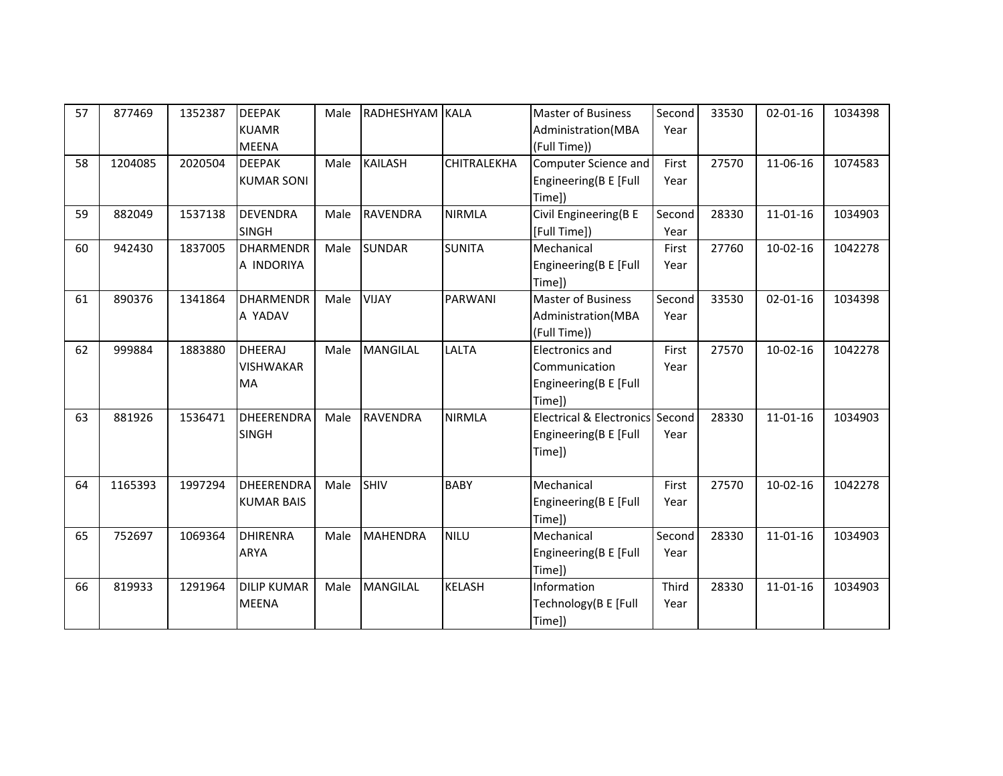| 57 | 877469  | 1352387 | <b>DEEPAK</b><br><b>KUAMR</b>                      | Male | RADHESHYAM KALA |                | <b>Master of Business</b><br>Administration(MBA                         | Second<br>Year | 33530 | $02 - 01 - 16$ | 1034398 |
|----|---------|---------|----------------------------------------------------|------|-----------------|----------------|-------------------------------------------------------------------------|----------------|-------|----------------|---------|
| 58 | 1204085 | 2020504 | <b>MEENA</b><br><b>DEEPAK</b><br><b>KUMAR SONI</b> | Male | <b>KAILASH</b>  | CHITRALEKHA    | (Full Time))<br>Computer Science and<br>Engineering(B E [Full<br>Time]) | First<br>Year  | 27570 | 11-06-16       | 1074583 |
| 59 | 882049  | 1537138 | <b>DEVENDRA</b><br><b>SINGH</b>                    | Male | <b>RAVENDRA</b> | <b>NIRMLA</b>  | Civil Engineering(B E<br>[Full Time])                                   | Second<br>Year | 28330 | $11 - 01 - 16$ | 1034903 |
| 60 | 942430  | 1837005 | <b>DHARMENDR</b><br>A INDORIYA                     | Male | <b>SUNDAR</b>   | <b>SUNITA</b>  | Mechanical<br>Engineering(B E [Full<br>Time])                           | First<br>Year  | 27760 | $10-02-16$     | 1042278 |
| 61 | 890376  | 1341864 | <b>DHARMENDR</b><br>A YADAV                        | Male | <b>VIJAY</b>    | <b>PARWANI</b> | <b>Master of Business</b><br>Administration(MBA<br>(Full Time))         | Second<br>Year | 33530 | $02 - 01 - 16$ | 1034398 |
| 62 | 999884  | 1883880 | <b>DHEERAJ</b><br><b>VISHWAKAR</b><br>MA           | Male | <b>MANGILAL</b> | LALTA          | Electronics and<br>Communication<br>Engineering(B E [Full<br>Time])     | First<br>Year  | 27570 | $10-02-16$     | 1042278 |
| 63 | 881926  | 1536471 | <b>DHEERENDRA</b><br><b>SINGH</b>                  | Male | <b>RAVENDRA</b> | <b>NIRMLA</b>  | Electrical & Electronics Second<br>Engineering(B E [Full<br>Time])      | Year           | 28330 | $11 - 01 - 16$ | 1034903 |
| 64 | 1165393 | 1997294 | <b>DHEERENDRA</b><br><b>KUMAR BAIS</b>             | Male | SHIV            | <b>BABY</b>    | Mechanical<br>Engineering(B E [Full<br>Time])                           | First<br>Year  | 27570 | $10-02-16$     | 1042278 |
| 65 | 752697  | 1069364 | <b>DHIRENRA</b><br>ARYA                            | Male | <b>MAHENDRA</b> | <b>NILU</b>    | Mechanical<br>Engineering(B E [Full<br>Time])                           | Second<br>Year | 28330 | $11 - 01 - 16$ | 1034903 |
| 66 | 819933  | 1291964 | <b>DILIP KUMAR</b><br><b>MEENA</b>                 | Male | <b>MANGILAL</b> | <b>KELASH</b>  | Information<br>Technology(B E [Full<br>Time])                           | Third<br>Year  | 28330 | $11 - 01 - 16$ | 1034903 |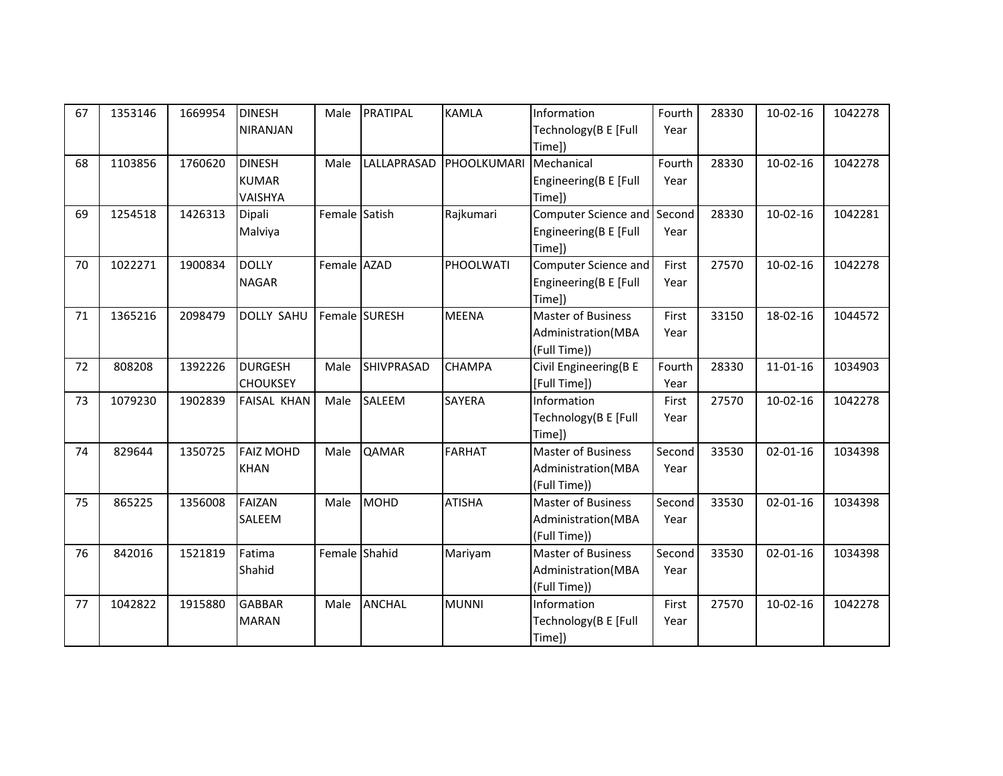| 67 | 1353146 | 1669954 | <b>DINESH</b>      | Male          | <b>PRATIPAL</b>   | <b>KAMLA</b>  | Information               | Fourth | 28330 | $10-02-16$     | 1042278 |
|----|---------|---------|--------------------|---------------|-------------------|---------------|---------------------------|--------|-------|----------------|---------|
|    |         |         | <b>NIRANJAN</b>    |               |                   |               | Technology (B E [Full     | Year   |       |                |         |
|    |         |         |                    |               |                   |               | Time])                    |        |       |                |         |
| 68 | 1103856 | 1760620 | <b>DINESH</b>      | Male          | LALLAPRASAD       | PHOOLKUMARI   | Mechanical                | Fourth | 28330 | $10-02-16$     | 1042278 |
|    |         |         | <b>KUMAR</b>       |               |                   |               | Engineering(B E [Full     | Year   |       |                |         |
|    |         |         | VAISHYA            |               |                   |               | Time])                    |        |       |                |         |
| 69 | 1254518 | 1426313 | Dipali             | Female Satish |                   | Rajkumari     | Computer Science and      | Second | 28330 | $10-02-16$     | 1042281 |
|    |         |         | Malviya            |               |                   |               | Engineering(B E [Full     | Year   |       |                |         |
|    |         |         |                    |               |                   |               | Time])                    |        |       |                |         |
| 70 | 1022271 | 1900834 | <b>DOLLY</b>       | Female AZAD   |                   | PHOOLWATI     | Computer Science and      | First  | 27570 | $10-02-16$     | 1042278 |
|    |         |         | <b>NAGAR</b>       |               |                   |               | Engineering(B E [Full     | Year   |       |                |         |
|    |         |         |                    |               |                   |               | Time])                    |        |       |                |         |
| 71 | 1365216 | 2098479 | <b>DOLLY SAHU</b>  |               | Female SURESH     | <b>MEENA</b>  | <b>Master of Business</b> | First  | 33150 | 18-02-16       | 1044572 |
|    |         |         |                    |               |                   |               | Administration(MBA        | Year   |       |                |         |
|    |         |         |                    |               |                   |               | (Full Time))              |        |       |                |         |
| 72 | 808208  | 1392226 | <b>DURGESH</b>     | Male          | <b>SHIVPRASAD</b> | <b>CHAMPA</b> | Civil Engineering(B E     | Fourth | 28330 | $11 - 01 - 16$ | 1034903 |
|    |         |         | <b>CHOUKSEY</b>    |               |                   |               | [Full Time])              | Year   |       |                |         |
| 73 | 1079230 | 1902839 | <b>FAISAL KHAN</b> | Male          | SALEEM            | <b>SAYERA</b> | Information               | First  | 27570 | $10-02-16$     | 1042278 |
|    |         |         |                    |               |                   |               | Technology(B E [Full      | Year   |       |                |         |
|    |         |         |                    |               |                   |               | Time])                    |        |       |                |         |
| 74 | 829644  | 1350725 | <b>FAIZ MOHD</b>   | Male          | <b>QAMAR</b>      | <b>FARHAT</b> | <b>Master of Business</b> | Second | 33530 | $02 - 01 - 16$ | 1034398 |
|    |         |         | <b>KHAN</b>        |               |                   |               | Administration(MBA        | Year   |       |                |         |
|    |         |         |                    |               |                   |               | (Full Time))              |        |       |                |         |
| 75 | 865225  | 1356008 | <b>FAIZAN</b>      | Male          | MOHD              | <b>ATISHA</b> | <b>Master of Business</b> | Second | 33530 | $02 - 01 - 16$ | 1034398 |
|    |         |         | SALEEM             |               |                   |               | Administration(MBA        | Year   |       |                |         |
|    |         |         |                    |               |                   |               | (Full Time))              |        |       |                |         |
| 76 | 842016  | 1521819 | Fatima             | Female Shahid |                   | Mariyam       | <b>Master of Business</b> | Second | 33530 | $02 - 01 - 16$ | 1034398 |
|    |         |         | Shahid             |               |                   |               | Administration(MBA        | Year   |       |                |         |
|    |         |         |                    |               |                   |               | (Full Time))              |        |       |                |         |
| 77 | 1042822 | 1915880 | <b>GABBAR</b>      | Male          | <b>ANCHAL</b>     | <b>MUNNI</b>  | Information               | First  | 27570 | $10-02-16$     | 1042278 |
|    |         |         | <b>MARAN</b>       |               |                   |               | Technology(B E [Full      | Year   |       |                |         |
|    |         |         |                    |               |                   |               | Time])                    |        |       |                |         |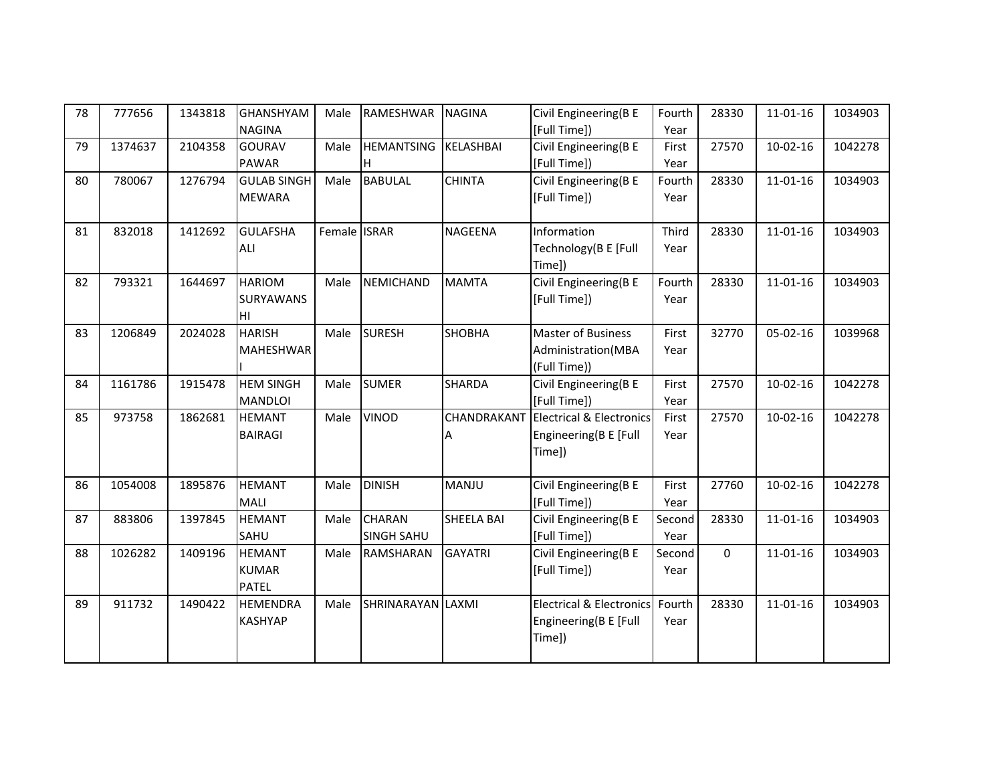| 78 | 777656  | 1343818 | <b>GHANSHYAM</b>   | Male         | RAMESHWAR         | <b>NAGINA</b>    | Civil Engineering(B E               | Fourth | 28330       | $11 - 01 - 16$ | 1034903 |
|----|---------|---------|--------------------|--------------|-------------------|------------------|-------------------------------------|--------|-------------|----------------|---------|
|    |         |         | <b>NAGINA</b>      |              |                   |                  | [Full Time])                        | Year   |             |                |         |
| 79 | 1374637 | 2104358 | <b>GOURAV</b>      | Male         | <b>HEMANTSING</b> | <b>KELASHBAI</b> | Civil Engineering(B E               | First  | 27570       | $10-02-16$     | 1042278 |
|    |         |         | PAWAR              |              | lH.               |                  | [Full Time])                        | Year   |             |                |         |
| 80 | 780067  | 1276794 | <b>GULAB SINGH</b> | Male         | <b>BABULAL</b>    | <b>CHINTA</b>    | Civil Engineering(B E               | Fourth | 28330       | $11 - 01 - 16$ | 1034903 |
|    |         |         | <b>MEWARA</b>      |              |                   |                  | [Full Time])                        | Year   |             |                |         |
|    |         |         |                    |              |                   |                  |                                     |        |             |                |         |
| 81 | 832018  | 1412692 | <b>GULAFSHA</b>    | Female ISRAR |                   | NAGEENA          | Information                         | Third  | 28330       | $11 - 01 - 16$ | 1034903 |
|    |         |         | ALI                |              |                   |                  | Technology(B E [Full                | Year   |             |                |         |
|    |         |         |                    |              |                   |                  | Time])                              |        |             |                |         |
| 82 | 793321  | 1644697 | <b>HARIOM</b>      | Male         | <b>NEMICHAND</b>  | <b>MAMTA</b>     | Civil Engineering(B E               | Fourth | 28330       | $11 - 01 - 16$ | 1034903 |
|    |         |         | <b>SURYAWANS</b>   |              |                   |                  | [Full Time])                        | Year   |             |                |         |
|    |         |         | HI                 |              |                   |                  |                                     |        |             |                |         |
| 83 | 1206849 | 2024028 | <b>HARISH</b>      | Male         | <b>SURESH</b>     | <b>SHOBHA</b>    | <b>Master of Business</b>           | First  | 32770       | 05-02-16       | 1039968 |
|    |         |         | <b>MAHESHWAR</b>   |              |                   |                  | Administration(MBA                  | Year   |             |                |         |
|    |         |         |                    |              |                   |                  | (Full Time))                        |        |             |                |         |
| 84 | 1161786 | 1915478 | <b>HEM SINGH</b>   | Male         | <b>SUMER</b>      | SHARDA           | Civil Engineering(B E               | First  | 27570       | $10-02-16$     | 1042278 |
|    |         |         | <b>MANDLOI</b>     |              |                   |                  | [Full Time])                        | Year   |             |                |         |
| 85 | 973758  | 1862681 | <b>HEMANT</b>      | Male         | <b>VINOD</b>      | CHANDRAKANT      | <b>Electrical &amp; Electronics</b> | First  | 27570       | $10-02-16$     | 1042278 |
|    |         |         | <b>BAIRAGI</b>     |              |                   | A                | Engineering(B E [Full               | Year   |             |                |         |
|    |         |         |                    |              |                   |                  | Time])                              |        |             |                |         |
|    |         |         |                    |              |                   |                  |                                     |        |             |                |         |
| 86 | 1054008 | 1895876 | <b>HEMANT</b>      | Male         | <b>DINISH</b>     | <b>MANJU</b>     | Civil Engineering(B E               | First  | 27760       | $10-02-16$     | 1042278 |
|    |         |         | <b>MALI</b>        |              |                   |                  | [Full Time])                        | Year   |             |                |         |
| 87 | 883806  | 1397845 | <b>HEMANT</b>      | Male         | <b>CHARAN</b>     | SHEELA BAI       | Civil Engineering(B E               | Second | 28330       | $11 - 01 - 16$ | 1034903 |
|    |         |         | SAHU               |              | <b>SINGH SAHU</b> |                  | [Full Time])                        | Year   |             |                |         |
| 88 | 1026282 | 1409196 | <b>HEMANT</b>      | Male         | RAMSHARAN         | <b>GAYATRI</b>   | Civil Engineering(B E               | Second | $\mathbf 0$ | $11 - 01 - 16$ | 1034903 |
|    |         |         | <b>KUMAR</b>       |              |                   |                  | [Full Time])                        | Year   |             |                |         |
|    |         |         | <b>PATEL</b>       |              |                   |                  |                                     |        |             |                |         |
| 89 | 911732  | 1490422 | <b>HEMENDRA</b>    | Male         | SHRINARAYAN LAXMI |                  | <b>Electrical &amp; Electronics</b> | Fourth | 28330       | $11 - 01 - 16$ | 1034903 |
|    |         |         | <b>KASHYAP</b>     |              |                   |                  | Engineering(B E [Full               | Year   |             |                |         |
|    |         |         |                    |              |                   |                  | Time])                              |        |             |                |         |
|    |         |         |                    |              |                   |                  |                                     |        |             |                |         |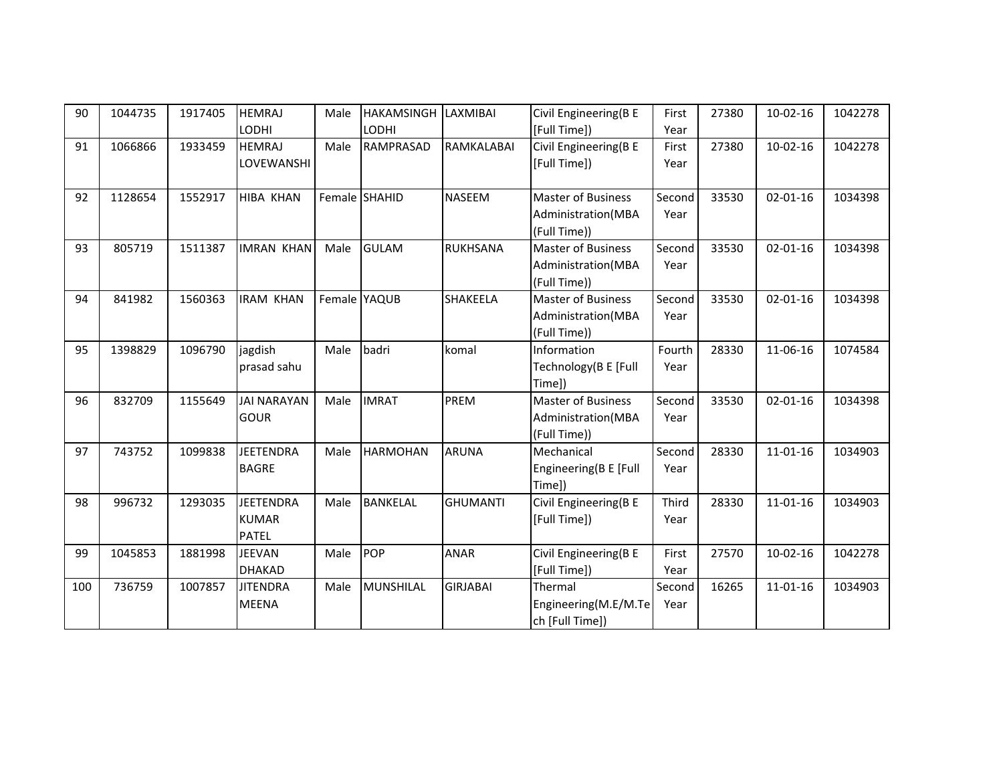| 90  | 1044735 | 1917405 | <b>HEMRAJ</b>      | Male | HAKAMSINGH LAXMIBAI |                 | Civil Engineering(B E     | First  | 27380 | $10-02-16$     | 1042278 |
|-----|---------|---------|--------------------|------|---------------------|-----------------|---------------------------|--------|-------|----------------|---------|
|     |         |         | <b>LODHI</b>       |      | <b>LODHI</b>        |                 | [Full Time])              | Year   |       |                |         |
| 91  | 1066866 | 1933459 | <b>HEMRAJ</b>      | Male | RAMPRASAD           | RAMKALABAI      | Civil Engineering(B E     | First  | 27380 | $10-02-16$     | 1042278 |
|     |         |         | LOVEWANSHI         |      |                     |                 | [Full Time])              | Year   |       |                |         |
|     |         |         |                    |      |                     |                 |                           |        |       |                |         |
| 92  | 1128654 | 1552917 | <b>HIBA KHAN</b>   |      | Female SHAHID       | <b>NASEEM</b>   | <b>Master of Business</b> | Second | 33530 | $02 - 01 - 16$ | 1034398 |
|     |         |         |                    |      |                     |                 | Administration(MBA        | Year   |       |                |         |
|     |         |         |                    |      |                     |                 | (Full Time))              |        |       |                |         |
| 93  | 805719  | 1511387 | <b>IMRAN KHAN</b>  | Male | <b>GULAM</b>        | <b>RUKHSANA</b> | <b>Master of Business</b> | Second | 33530 | $02 - 01 - 16$ | 1034398 |
|     |         |         |                    |      |                     |                 | Administration (MBA       | Year   |       |                |         |
|     |         |         |                    |      |                     |                 | (Full Time))              |        |       |                |         |
| 94  | 841982  | 1560363 | <b>IRAM KHAN</b>   |      | Female YAQUB        | <b>SHAKEELA</b> | <b>Master of Business</b> | Second | 33530 | $02 - 01 - 16$ | 1034398 |
|     |         |         |                    |      |                     |                 | Administration(MBA        | Year   |       |                |         |
|     |         |         |                    |      |                     |                 | (Full Time))              |        |       |                |         |
| 95  | 1398829 | 1096790 | jagdish            | Male | badri               | komal           | Information               | Fourth | 28330 | 11-06-16       | 1074584 |
|     |         |         | prasad sahu        |      |                     |                 | Technology(B E [Full      | Year   |       |                |         |
|     |         |         |                    |      |                     |                 | Time])                    |        |       |                |         |
| 96  | 832709  | 1155649 | <b>JAI NARAYAN</b> | Male | <b>IMRAT</b>        | <b>PREM</b>     | <b>Master of Business</b> | Second | 33530 | $02 - 01 - 16$ | 1034398 |
|     |         |         | <b>GOUR</b>        |      |                     |                 | Administration(MBA        | Year   |       |                |         |
|     |         |         |                    |      |                     |                 | (Full Time))              |        |       |                |         |
| 97  | 743752  | 1099838 | <b>JEETENDRA</b>   | Male | <b>HARMOHAN</b>     | <b>ARUNA</b>    | Mechanical                | Second | 28330 | $11 - 01 - 16$ | 1034903 |
|     |         |         | <b>BAGRE</b>       |      |                     |                 | Engineering(B E [Full     | Year   |       |                |         |
|     |         |         |                    |      |                     |                 | Time])                    |        |       |                |         |
| 98  | 996732  | 1293035 | <b>JEETENDRA</b>   | Male | <b>BANKELAL</b>     | <b>GHUMANTI</b> | Civil Engineering(B E     | Third  | 28330 | $11 - 01 - 16$ | 1034903 |
|     |         |         | <b>KUMAR</b>       |      |                     |                 | [Full Time])              | Year   |       |                |         |
|     |         |         | <b>PATEL</b>       |      |                     |                 |                           |        |       |                |         |
| 99  | 1045853 | 1881998 | <b>JEEVAN</b>      | Male | POP                 | <b>ANAR</b>     | Civil Engineering(B E     | First  | 27570 | $10-02-16$     | 1042278 |
|     |         |         | <b>DHAKAD</b>      |      |                     |                 | [Full Time])              | Year   |       |                |         |
| 100 | 736759  | 1007857 | <b>JITENDRA</b>    | Male | <b>MUNSHILAL</b>    | <b>GIRJABAI</b> | Thermal                   | Second | 16265 | $11 - 01 - 16$ | 1034903 |
|     |         |         | <b>MEENA</b>       |      |                     |                 | Engineering(M.E/M.Te      | Year   |       |                |         |
|     |         |         |                    |      |                     |                 | ch [Full Time])           |        |       |                |         |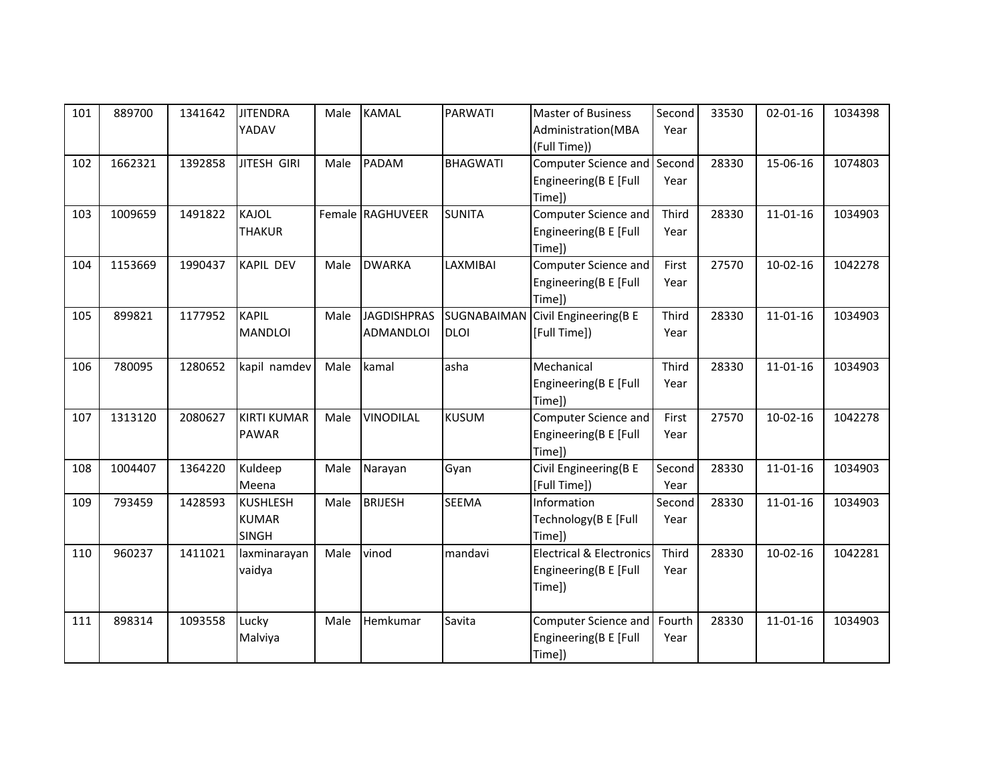| (Full Time))<br>Computer Science and Second<br>1662321<br><b>JITESH GIRI</b><br><b>PADAM</b><br><b>BHAGWATI</b><br>28330<br>15-06-16<br>102<br>1392858<br>1074803<br>Male<br>Engineering(B E [Full<br>Year<br>Time])<br>Computer Science and<br>103<br>1009659<br>1491822<br><b>KAJOL</b><br>Female RAGHUVEER<br><b>SUNITA</b><br>Third<br>$11 - 01 - 16$<br>1034903<br>28330<br>Engineering(B E [Full<br><b>THAKUR</b><br>Year<br>Time])<br>1153669<br>LAXMIBAI<br>Computer Science and<br>1990437<br><b>KAPIL DEV</b><br><b>DWARKA</b><br>First<br>27570<br>$10-02-16$<br>1042278<br>104<br>Male<br>Engineering(B E [Full<br>Year<br>Time])<br>Civil Engineering(B E<br>899821<br><b>KAPIL</b><br><b>JAGDISHPRAS</b><br>Third<br>105<br>1177952<br>SUGNABAIMAN<br>28330<br>$11 - 01 - 16$<br>1034903<br>Male<br><b>MANDLOI</b><br>[Full Time])<br>ADMANDLOI<br><b>DLOI</b><br>Year<br>780095<br>106<br>1280652<br>kapil namdev<br>kamal<br>asha<br>Mechanical<br>28330<br>$11 - 01 - 16$<br>1034903<br>Male<br>Third<br>Engineering(B E [Full<br>Year<br>Time])<br>1313120<br><b>KIRTI KUMAR</b><br><b>KUSUM</b><br>107<br>2080627<br><b>VINODILAL</b><br>Computer Science and<br>First<br>27570<br>$10-02-16$<br>1042278<br>Male<br>Engineering(B E [Full<br>PAWAR<br>Year<br>Time])<br>1004407<br>Kuldeep<br>Civil Engineering(B E<br>Second<br>$11 - 01 - 16$<br>108<br>1364220<br>Gyan<br>28330<br>1034903<br>Male<br>Narayan<br>[Full Time])<br>Meena<br>Year<br><b>BRIJESH</b><br>109<br>793459<br>1428593<br><b>KUSHLESH</b><br><b>SEEMA</b><br><b>Information</b><br>Second<br>28330<br>Male<br>$11 - 01 - 16$<br>1034903<br><b>KUMAR</b><br>Technology(B E [Full<br>Year<br><b>SINGH</b><br>Time])<br>960237<br>vinod<br><b>Electrical &amp; Electronics</b><br>Third<br>1411021<br>mandavi<br>28330<br>$10-02-16$<br>1042281<br>110<br>laxminarayan<br>Male<br>vaidya<br>Engineering(B E [Full<br>Year<br>Time])<br>898314<br>1093558<br>Lucky<br>Savita<br>28330<br>111<br>Male<br>Hemkumar<br>Computer Science and<br>Fourth<br>11-01-16<br>1034903<br>Engineering(B E [Full<br>Malviya<br>Year | 101 | 889700 | 1341642 | <b>JITENDRA</b><br>YADAV | Male | <b>KAMAL</b> | <b>PARWATI</b> | <b>Master of Business</b><br>Administration(MBA | Second<br>Year | 33530 | $02 - 01 - 16$ | 1034398 |
|---------------------------------------------------------------------------------------------------------------------------------------------------------------------------------------------------------------------------------------------------------------------------------------------------------------------------------------------------------------------------------------------------------------------------------------------------------------------------------------------------------------------------------------------------------------------------------------------------------------------------------------------------------------------------------------------------------------------------------------------------------------------------------------------------------------------------------------------------------------------------------------------------------------------------------------------------------------------------------------------------------------------------------------------------------------------------------------------------------------------------------------------------------------------------------------------------------------------------------------------------------------------------------------------------------------------------------------------------------------------------------------------------------------------------------------------------------------------------------------------------------------------------------------------------------------------------------------------------------------------------------------------------------------------------------------------------------------------------------------------------------------------------------------------------------------------------------------------------------------------------------------------------------------------------------------------------------------------------------------------------------------------------------------------------------------------------------------------------------------|-----|--------|---------|--------------------------|------|--------------|----------------|-------------------------------------------------|----------------|-------|----------------|---------|
|                                                                                                                                                                                                                                                                                                                                                                                                                                                                                                                                                                                                                                                                                                                                                                                                                                                                                                                                                                                                                                                                                                                                                                                                                                                                                                                                                                                                                                                                                                                                                                                                                                                                                                                                                                                                                                                                                                                                                                                                                                                                                                               |     |        |         |                          |      |              |                |                                                 |                |       |                |         |
|                                                                                                                                                                                                                                                                                                                                                                                                                                                                                                                                                                                                                                                                                                                                                                                                                                                                                                                                                                                                                                                                                                                                                                                                                                                                                                                                                                                                                                                                                                                                                                                                                                                                                                                                                                                                                                                                                                                                                                                                                                                                                                               |     |        |         |                          |      |              |                |                                                 |                |       |                |         |
|                                                                                                                                                                                                                                                                                                                                                                                                                                                                                                                                                                                                                                                                                                                                                                                                                                                                                                                                                                                                                                                                                                                                                                                                                                                                                                                                                                                                                                                                                                                                                                                                                                                                                                                                                                                                                                                                                                                                                                                                                                                                                                               |     |        |         |                          |      |              |                |                                                 |                |       |                |         |
|                                                                                                                                                                                                                                                                                                                                                                                                                                                                                                                                                                                                                                                                                                                                                                                                                                                                                                                                                                                                                                                                                                                                                                                                                                                                                                                                                                                                                                                                                                                                                                                                                                                                                                                                                                                                                                                                                                                                                                                                                                                                                                               |     |        |         |                          |      |              |                |                                                 |                |       |                |         |
|                                                                                                                                                                                                                                                                                                                                                                                                                                                                                                                                                                                                                                                                                                                                                                                                                                                                                                                                                                                                                                                                                                                                                                                                                                                                                                                                                                                                                                                                                                                                                                                                                                                                                                                                                                                                                                                                                                                                                                                                                                                                                                               |     |        |         |                          |      |              |                |                                                 |                |       |                |         |
|                                                                                                                                                                                                                                                                                                                                                                                                                                                                                                                                                                                                                                                                                                                                                                                                                                                                                                                                                                                                                                                                                                                                                                                                                                                                                                                                                                                                                                                                                                                                                                                                                                                                                                                                                                                                                                                                                                                                                                                                                                                                                                               |     |        |         |                          |      |              |                |                                                 |                |       |                |         |
|                                                                                                                                                                                                                                                                                                                                                                                                                                                                                                                                                                                                                                                                                                                                                                                                                                                                                                                                                                                                                                                                                                                                                                                                                                                                                                                                                                                                                                                                                                                                                                                                                                                                                                                                                                                                                                                                                                                                                                                                                                                                                                               |     |        |         |                          |      |              |                |                                                 |                |       |                |         |
|                                                                                                                                                                                                                                                                                                                                                                                                                                                                                                                                                                                                                                                                                                                                                                                                                                                                                                                                                                                                                                                                                                                                                                                                                                                                                                                                                                                                                                                                                                                                                                                                                                                                                                                                                                                                                                                                                                                                                                                                                                                                                                               |     |        |         |                          |      |              |                |                                                 |                |       |                |         |
|                                                                                                                                                                                                                                                                                                                                                                                                                                                                                                                                                                                                                                                                                                                                                                                                                                                                                                                                                                                                                                                                                                                                                                                                                                                                                                                                                                                                                                                                                                                                                                                                                                                                                                                                                                                                                                                                                                                                                                                                                                                                                                               |     |        |         |                          |      |              |                |                                                 |                |       |                |         |
|                                                                                                                                                                                                                                                                                                                                                                                                                                                                                                                                                                                                                                                                                                                                                                                                                                                                                                                                                                                                                                                                                                                                                                                                                                                                                                                                                                                                                                                                                                                                                                                                                                                                                                                                                                                                                                                                                                                                                                                                                                                                                                               |     |        |         |                          |      |              |                |                                                 |                |       |                |         |
|                                                                                                                                                                                                                                                                                                                                                                                                                                                                                                                                                                                                                                                                                                                                                                                                                                                                                                                                                                                                                                                                                                                                                                                                                                                                                                                                                                                                                                                                                                                                                                                                                                                                                                                                                                                                                                                                                                                                                                                                                                                                                                               |     |        |         |                          |      |              |                |                                                 |                |       |                |         |
|                                                                                                                                                                                                                                                                                                                                                                                                                                                                                                                                                                                                                                                                                                                                                                                                                                                                                                                                                                                                                                                                                                                                                                                                                                                                                                                                                                                                                                                                                                                                                                                                                                                                                                                                                                                                                                                                                                                                                                                                                                                                                                               |     |        |         |                          |      |              |                |                                                 |                |       |                |         |
|                                                                                                                                                                                                                                                                                                                                                                                                                                                                                                                                                                                                                                                                                                                                                                                                                                                                                                                                                                                                                                                                                                                                                                                                                                                                                                                                                                                                                                                                                                                                                                                                                                                                                                                                                                                                                                                                                                                                                                                                                                                                                                               |     |        |         |                          |      |              |                |                                                 |                |       |                |         |
|                                                                                                                                                                                                                                                                                                                                                                                                                                                                                                                                                                                                                                                                                                                                                                                                                                                                                                                                                                                                                                                                                                                                                                                                                                                                                                                                                                                                                                                                                                                                                                                                                                                                                                                                                                                                                                                                                                                                                                                                                                                                                                               |     |        |         |                          |      |              |                |                                                 |                |       |                |         |
|                                                                                                                                                                                                                                                                                                                                                                                                                                                                                                                                                                                                                                                                                                                                                                                                                                                                                                                                                                                                                                                                                                                                                                                                                                                                                                                                                                                                                                                                                                                                                                                                                                                                                                                                                                                                                                                                                                                                                                                                                                                                                                               |     |        |         |                          |      |              |                |                                                 |                |       |                |         |
|                                                                                                                                                                                                                                                                                                                                                                                                                                                                                                                                                                                                                                                                                                                                                                                                                                                                                                                                                                                                                                                                                                                                                                                                                                                                                                                                                                                                                                                                                                                                                                                                                                                                                                                                                                                                                                                                                                                                                                                                                                                                                                               |     |        |         |                          |      |              |                |                                                 |                |       |                |         |
|                                                                                                                                                                                                                                                                                                                                                                                                                                                                                                                                                                                                                                                                                                                                                                                                                                                                                                                                                                                                                                                                                                                                                                                                                                                                                                                                                                                                                                                                                                                                                                                                                                                                                                                                                                                                                                                                                                                                                                                                                                                                                                               |     |        |         |                          |      |              |                |                                                 |                |       |                |         |
|                                                                                                                                                                                                                                                                                                                                                                                                                                                                                                                                                                                                                                                                                                                                                                                                                                                                                                                                                                                                                                                                                                                                                                                                                                                                                                                                                                                                                                                                                                                                                                                                                                                                                                                                                                                                                                                                                                                                                                                                                                                                                                               |     |        |         |                          |      |              |                |                                                 |                |       |                |         |
|                                                                                                                                                                                                                                                                                                                                                                                                                                                                                                                                                                                                                                                                                                                                                                                                                                                                                                                                                                                                                                                                                                                                                                                                                                                                                                                                                                                                                                                                                                                                                                                                                                                                                                                                                                                                                                                                                                                                                                                                                                                                                                               |     |        |         |                          |      |              |                |                                                 |                |       |                |         |
|                                                                                                                                                                                                                                                                                                                                                                                                                                                                                                                                                                                                                                                                                                                                                                                                                                                                                                                                                                                                                                                                                                                                                                                                                                                                                                                                                                                                                                                                                                                                                                                                                                                                                                                                                                                                                                                                                                                                                                                                                                                                                                               |     |        |         |                          |      |              |                |                                                 |                |       |                |         |
|                                                                                                                                                                                                                                                                                                                                                                                                                                                                                                                                                                                                                                                                                                                                                                                                                                                                                                                                                                                                                                                                                                                                                                                                                                                                                                                                                                                                                                                                                                                                                                                                                                                                                                                                                                                                                                                                                                                                                                                                                                                                                                               |     |        |         |                          |      |              |                |                                                 |                |       |                |         |
|                                                                                                                                                                                                                                                                                                                                                                                                                                                                                                                                                                                                                                                                                                                                                                                                                                                                                                                                                                                                                                                                                                                                                                                                                                                                                                                                                                                                                                                                                                                                                                                                                                                                                                                                                                                                                                                                                                                                                                                                                                                                                                               |     |        |         |                          |      |              |                |                                                 |                |       |                |         |
|                                                                                                                                                                                                                                                                                                                                                                                                                                                                                                                                                                                                                                                                                                                                                                                                                                                                                                                                                                                                                                                                                                                                                                                                                                                                                                                                                                                                                                                                                                                                                                                                                                                                                                                                                                                                                                                                                                                                                                                                                                                                                                               |     |        |         |                          |      |              |                |                                                 |                |       |                |         |
|                                                                                                                                                                                                                                                                                                                                                                                                                                                                                                                                                                                                                                                                                                                                                                                                                                                                                                                                                                                                                                                                                                                                                                                                                                                                                                                                                                                                                                                                                                                                                                                                                                                                                                                                                                                                                                                                                                                                                                                                                                                                                                               |     |        |         |                          |      |              |                |                                                 |                |       |                |         |
|                                                                                                                                                                                                                                                                                                                                                                                                                                                                                                                                                                                                                                                                                                                                                                                                                                                                                                                                                                                                                                                                                                                                                                                                                                                                                                                                                                                                                                                                                                                                                                                                                                                                                                                                                                                                                                                                                                                                                                                                                                                                                                               |     |        |         |                          |      |              |                |                                                 |                |       |                |         |
|                                                                                                                                                                                                                                                                                                                                                                                                                                                                                                                                                                                                                                                                                                                                                                                                                                                                                                                                                                                                                                                                                                                                                                                                                                                                                                                                                                                                                                                                                                                                                                                                                                                                                                                                                                                                                                                                                                                                                                                                                                                                                                               |     |        |         |                          |      |              |                |                                                 |                |       |                |         |
|                                                                                                                                                                                                                                                                                                                                                                                                                                                                                                                                                                                                                                                                                                                                                                                                                                                                                                                                                                                                                                                                                                                                                                                                                                                                                                                                                                                                                                                                                                                                                                                                                                                                                                                                                                                                                                                                                                                                                                                                                                                                                                               |     |        |         |                          |      |              |                |                                                 |                |       |                |         |
|                                                                                                                                                                                                                                                                                                                                                                                                                                                                                                                                                                                                                                                                                                                                                                                                                                                                                                                                                                                                                                                                                                                                                                                                                                                                                                                                                                                                                                                                                                                                                                                                                                                                                                                                                                                                                                                                                                                                                                                                                                                                                                               |     |        |         |                          |      |              |                |                                                 |                |       |                |         |
|                                                                                                                                                                                                                                                                                                                                                                                                                                                                                                                                                                                                                                                                                                                                                                                                                                                                                                                                                                                                                                                                                                                                                                                                                                                                                                                                                                                                                                                                                                                                                                                                                                                                                                                                                                                                                                                                                                                                                                                                                                                                                                               |     |        |         |                          |      |              |                | Time])                                          |                |       |                |         |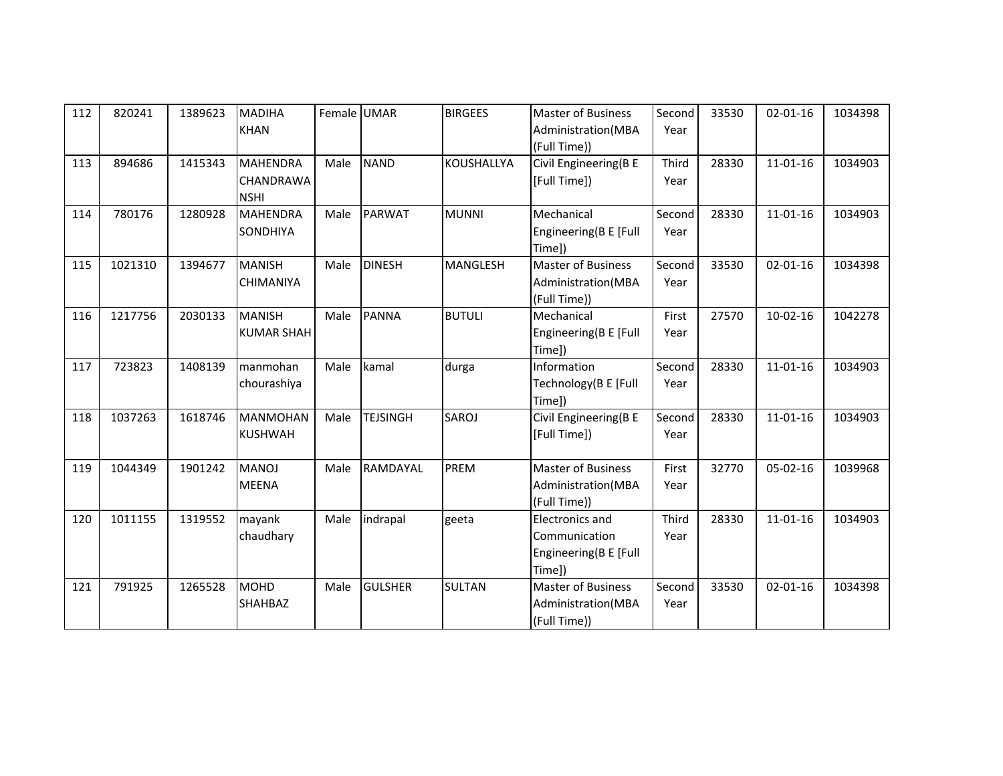| 112 | 820241  | 1389623 | <b>MADIHA</b><br><b>KHAN</b>                       | Female UMAR |                 | <b>BIRGEES</b>  | <b>Master of Business</b><br>Administration(MBA<br>(Full Time))            | Second<br>Year | 33530 | $02 - 01 - 16$ | 1034398 |
|-----|---------|---------|----------------------------------------------------|-------------|-----------------|-----------------|----------------------------------------------------------------------------|----------------|-------|----------------|---------|
| 113 | 894686  | 1415343 | <b>MAHENDRA</b><br><b>CHANDRAWA</b><br><b>NSHI</b> | Male        | <b>NAND</b>     | KOUSHALLYA      | Civil Engineering(B E<br>[Full Time])                                      | Third<br>Year  | 28330 | $11 - 01 - 16$ | 1034903 |
| 114 | 780176  | 1280928 | <b>MAHENDRA</b><br><b>SONDHIYA</b>                 | Male        | <b>PARWAT</b>   | <b>MUNNI</b>    | Mechanical<br>Engineering(B E [Full<br>Time])                              | Second<br>Year | 28330 | $11 - 01 - 16$ | 1034903 |
| 115 | 1021310 | 1394677 | <b>MANISH</b><br><b>CHIMANIYA</b>                  | Male        | <b>DINESH</b>   | <b>MANGLESH</b> | <b>Master of Business</b><br>Administration(MBA<br>(Full Time))            | Second<br>Year | 33530 | $02 - 01 - 16$ | 1034398 |
| 116 | 1217756 | 2030133 | <b>MANISH</b><br><b>KUMAR SHAH</b>                 | Male        | <b>PANNA</b>    | <b>BUTULI</b>   | Mechanical<br>Engineering(B E [Full<br>Time])                              | First<br>Year  | 27570 | $10-02-16$     | 1042278 |
| 117 | 723823  | 1408139 | manmohan<br>chourashiya                            | Male        | kamal           | durga           | Information<br>Technology(B E [Full<br>Time])                              | Second<br>Year | 28330 | $11 - 01 - 16$ | 1034903 |
| 118 | 1037263 | 1618746 | <b>MANMOHAN</b><br><b>KUSHWAH</b>                  | Male        | <b>TEJSINGH</b> | SAROJ           | Civil Engineering(B E<br>[Full Time])                                      | Second<br>Year | 28330 | $11 - 01 - 16$ | 1034903 |
| 119 | 1044349 | 1901242 | <b>MANOJ</b><br><b>MEENA</b>                       | Male        | RAMDAYAL        | PREM            | <b>Master of Business</b><br>Administration(MBA<br>(Full Time))            | First<br>Year  | 32770 | $05-02-16$     | 1039968 |
| 120 | 1011155 | 1319552 | mayank<br>chaudhary                                | Male        | indrapal        | geeta           | <b>Electronics and</b><br>Communication<br>Engineering(B E [Full<br>Time]) | Third<br>Year  | 28330 | $11 - 01 - 16$ | 1034903 |
| 121 | 791925  | 1265528 | <b>MOHD</b><br><b>SHAHBAZ</b>                      | Male        | <b>GULSHER</b>  | <b>SULTAN</b>   | <b>Master of Business</b><br>Administration(MBA<br>(Full Time))            | Second<br>Year | 33530 | $02 - 01 - 16$ | 1034398 |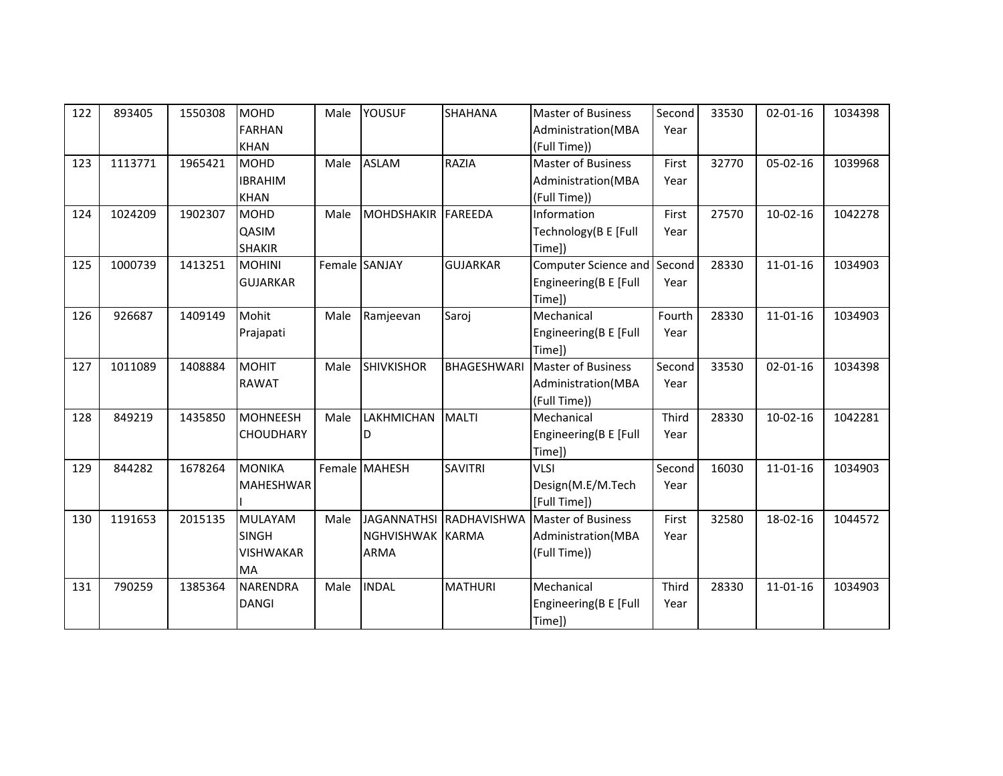| 122 | 893405  | 1550308 | <b>MOHD</b>                  | Male | <b>YOUSUF</b>      | SHAHANA                 | <b>Master of Business</b>          | Second | 33530 | $02 - 01 - 16$ | 1034398 |
|-----|---------|---------|------------------------------|------|--------------------|-------------------------|------------------------------------|--------|-------|----------------|---------|
|     |         |         | <b>FARHAN</b><br><b>KHAN</b> |      |                    |                         | Administration(MBA<br>(Full Time)) | Year   |       |                |         |
| 123 | 1113771 | 1965421 | <b>MOHD</b>                  | Male | <b>ASLAM</b>       | <b>RAZIA</b>            | <b>Master of Business</b>          | First  | 32770 | 05-02-16       | 1039968 |
|     |         |         | <b>IBRAHIM</b>               |      |                    |                         | Administration(MBA                 | Year   |       |                |         |
|     |         |         | <b>KHAN</b>                  |      |                    |                         | (Full Time))                       |        |       |                |         |
| 124 | 1024209 | 1902307 | <b>MOHD</b>                  | Male | MOHDSHAKIR FAREEDA |                         | Information                        | First  | 27570 | $10-02-16$     | 1042278 |
|     |         |         | QASIM                        |      |                    |                         | Technology(B E [Full               | Year   |       |                |         |
|     |         |         | <b>SHAKIR</b>                |      |                    |                         | Time])                             |        |       |                |         |
| 125 | 1000739 | 1413251 | <b>MOHINI</b>                |      | Female SANJAY      | <b>GUJARKAR</b>         | Computer Science and Second        |        | 28330 | $11 - 01 - 16$ | 1034903 |
|     |         |         | <b>GUJARKAR</b>              |      |                    |                         | Engineering(B E [Full              | Year   |       |                |         |
|     |         |         |                              |      |                    |                         | Time])                             |        |       |                |         |
| 126 | 926687  | 1409149 | Mohit                        | Male | Ramjeevan          | Saroj                   | Mechanical                         | Fourth | 28330 | $11 - 01 - 16$ | 1034903 |
|     |         |         | Prajapati                    |      |                    |                         | Engineering(B E [Full              | Year   |       |                |         |
|     |         |         |                              |      |                    |                         | Time])                             |        |       |                |         |
| 127 | 1011089 | 1408884 | <b>MOHIT</b>                 | Male | SHIVKISHOR         | BHAGESHWARI             | <b>Master of Business</b>          | Second | 33530 | $02 - 01 - 16$ | 1034398 |
|     |         |         | <b>RAWAT</b>                 |      |                    |                         | Administration(MBA                 | Year   |       |                |         |
|     |         |         |                              |      |                    |                         | (Full Time))                       |        |       |                |         |
| 128 | 849219  | 1435850 | <b>MOHNEESH</b>              | Male | LAKHMICHAN         | <b>MALTI</b>            | Mechanical                         | Third  | 28330 | $10-02-16$     | 1042281 |
|     |         |         | <b>CHOUDHARY</b>             |      | D                  |                         | Engineering(B E [Full              | Year   |       |                |         |
|     |         |         |                              |      |                    |                         | Time])                             |        |       |                |         |
| 129 | 844282  | 1678264 | <b>MONIKA</b>                |      | Female MAHESH      | <b>SAVITRI</b>          | VLSI                               | Second | 16030 | $11 - 01 - 16$ | 1034903 |
|     |         |         | MAHESHWAR                    |      |                    |                         | Design(M.E/M.Tech                  | Year   |       |                |         |
|     |         |         |                              |      |                    |                         | [Full Time])                       |        |       |                |         |
| 130 | 1191653 | 2015135 | <b>MULAYAM</b>               | Male |                    | JAGANNATHSI RADHAVISHWA | <b>Master of Business</b>          | First  | 32580 | 18-02-16       | 1044572 |
|     |         |         | <b>SINGH</b>                 |      | NGHVISHWAK KARMA   |                         | Administration(MBA                 | Year   |       |                |         |
|     |         |         | <b>VISHWAKAR</b>             |      | <b>ARMA</b>        |                         | (Full Time))                       |        |       |                |         |
|     |         |         | <b>MA</b>                    |      |                    |                         |                                    |        |       |                |         |
| 131 | 790259  | 1385364 | <b>NARENDRA</b>              | Male | <b>INDAL</b>       | <b>MATHURI</b>          | Mechanical                         | Third  | 28330 | $11 - 01 - 16$ | 1034903 |
|     |         |         | <b>DANGI</b>                 |      |                    |                         | Engineering(B E [Full              | Year   |       |                |         |
|     |         |         |                              |      |                    |                         | Time])                             |        |       |                |         |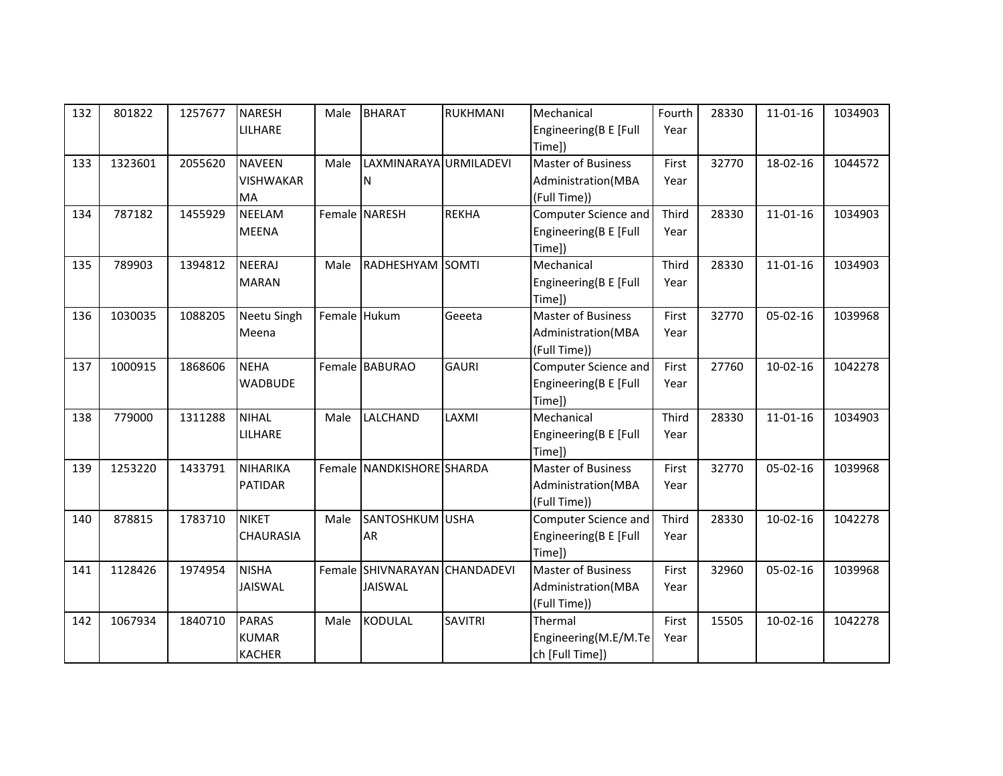| 132 | 801822  | 1257677 | <b>NARESH</b>    | Male | <b>BHARAT</b>                 | RUKHMANI       | Mechanical                | Fourth | 28330 | $11 - 01 - 16$ | 1034903 |
|-----|---------|---------|------------------|------|-------------------------------|----------------|---------------------------|--------|-------|----------------|---------|
|     |         |         | LILHARE          |      |                               |                | Engineering(B E [Full     | Year   |       |                |         |
|     |         |         |                  |      |                               |                | Time])                    |        |       |                |         |
| 133 | 1323601 | 2055620 | <b>NAVEEN</b>    | Male | LAXMINARAYA URMILADEVI        |                | Master of Business        | First  | 32770 | 18-02-16       | 1044572 |
|     |         |         | <b>VISHWAKAR</b> |      | ΙN                            |                | Administration(MBA        | Year   |       |                |         |
|     |         |         | MA               |      |                               |                | (Full Time))              |        |       |                |         |
| 134 | 787182  | 1455929 | <b>NEELAM</b>    |      | Female NARESH                 | <b>REKHA</b>   | Computer Science and      | Third  | 28330 | $11 - 01 - 16$ | 1034903 |
|     |         |         | <b>MEENA</b>     |      |                               |                | Engineering(B E [Full     | Year   |       |                |         |
|     |         |         |                  |      |                               |                | Time])                    |        |       |                |         |
| 135 | 789903  | 1394812 | <b>NEERAJ</b>    | Male | RADHESHYAM SOMTI              |                | Mechanical                | Third  | 28330 | $11 - 01 - 16$ | 1034903 |
|     |         |         | <b>MARAN</b>     |      |                               |                | Engineering(B E [Full     | Year   |       |                |         |
|     |         |         |                  |      |                               |                | Time])                    |        |       |                |         |
| 136 | 1030035 | 1088205 | Neetu Singh      |      | Female Hukum                  | Geeeta         | <b>Master of Business</b> | First  | 32770 | 05-02-16       | 1039968 |
|     |         |         | Meena            |      |                               |                | Administration(MBA        | Year   |       |                |         |
|     |         |         |                  |      |                               |                | (Full Time))              |        |       |                |         |
| 137 | 1000915 | 1868606 | <b>NEHA</b>      |      | Female BABURAO                | <b>GAURI</b>   | Computer Science and      | First  | 27760 | $10-02-16$     | 1042278 |
|     |         |         | <b>WADBUDE</b>   |      |                               |                | Engineering(B E [Full     | Year   |       |                |         |
|     |         |         |                  |      |                               |                | Time])                    |        |       |                |         |
| 138 | 779000  | 1311288 | <b>NIHAL</b>     | Male | LALCHAND                      | LAXMI          | Mechanical                | Third  | 28330 | $11 - 01 - 16$ | 1034903 |
|     |         |         | LILHARE          |      |                               |                | Engineering(B E [Full     | Year   |       |                |         |
|     |         |         |                  |      |                               |                | Time])                    |        |       |                |         |
| 139 | 1253220 | 1433791 | <b>NIHARIKA</b>  |      | Female NANDKISHORE SHARDA     |                | <b>Master of Business</b> | First  | 32770 | $05 - 02 - 16$ | 1039968 |
|     |         |         | <b>PATIDAR</b>   |      |                               |                | Administration(MBA        | Year   |       |                |         |
|     |         |         |                  |      |                               |                | (Full Time))              |        |       |                |         |
| 140 | 878815  | 1783710 | <b>NIKET</b>     | Male | <b>SANTOSHKUM</b> USHA        |                | Computer Science and      | Third  | 28330 | $10-02-16$     | 1042278 |
|     |         |         | <b>CHAURASIA</b> |      | <b>AR</b>                     |                | Engineering(B E [Full     | Year   |       |                |         |
|     |         |         |                  |      |                               |                | Time])                    |        |       |                |         |
| 141 | 1128426 | 1974954 | <b>NISHA</b>     |      | Female SHIVNARAYAN CHANDADEVI |                | <b>Master of Business</b> | First  | 32960 | 05-02-16       | 1039968 |
|     |         |         | <b>JAISWAL</b>   |      | JAISWAL                       |                | Administration(MBA        | Year   |       |                |         |
|     |         |         |                  |      |                               |                | (Full Time))              |        |       |                |         |
| 142 | 1067934 | 1840710 | <b>PARAS</b>     | Male | <b>KODULAL</b>                | <b>SAVITRI</b> | Thermal                   | First  | 15505 | $10-02-16$     | 1042278 |
|     |         |         | <b>KUMAR</b>     |      |                               |                | Engineering(M.E/M.Te      | Year   |       |                |         |
|     |         |         | <b>KACHER</b>    |      |                               |                | ch [Full Time])           |        |       |                |         |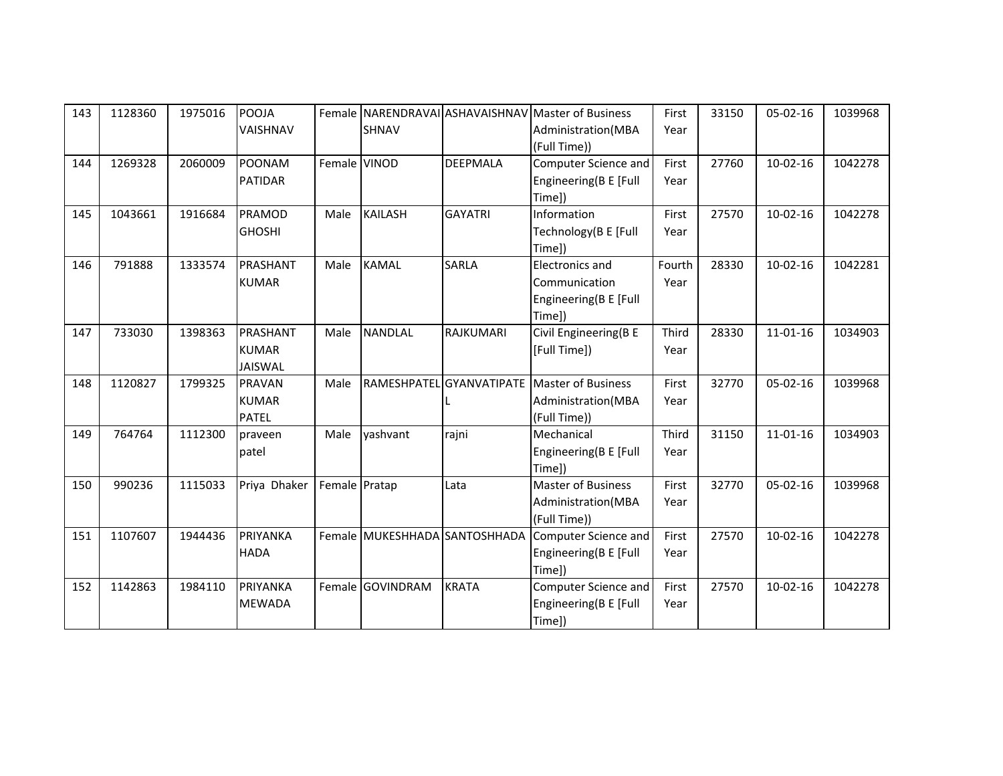| 143 | 1128360 | 1975016 | <b>POOJA</b>   |               |                  |                               | Female INARENDRAVAILASHAVAISHNAV Master of Business | First  | 33150 | 05-02-16       | 1039968 |
|-----|---------|---------|----------------|---------------|------------------|-------------------------------|-----------------------------------------------------|--------|-------|----------------|---------|
|     |         |         | VAISHNAV       |               | <b>SHNAV</b>     |                               | Administration (MBA                                 | Year   |       |                |         |
|     |         |         |                |               |                  |                               | (Full Time))                                        |        |       |                |         |
| 144 | 1269328 | 2060009 | <b>POONAM</b>  | Female VINOD  |                  | DEEPMALA                      | Computer Science and                                | First  | 27760 | $10-02-16$     | 1042278 |
|     |         |         | <b>PATIDAR</b> |               |                  |                               | Engineering(B E [Full                               | Year   |       |                |         |
|     |         |         |                |               |                  |                               | Time])                                              |        |       |                |         |
| 145 | 1043661 | 1916684 | PRAMOD         | Male          | <b>KAILASH</b>   | <b>GAYATRI</b>                | Information                                         | First  | 27570 | $10-02-16$     | 1042278 |
|     |         |         | <b>GHOSHI</b>  |               |                  |                               | Technology(B E [Full                                | Year   |       |                |         |
|     |         |         |                |               |                  |                               | Time])                                              |        |       |                |         |
| 146 | 791888  | 1333574 | PRASHANT       | Male          | <b>KAMAL</b>     | <b>SARLA</b>                  | <b>Electronics and</b>                              | Fourth | 28330 | $10-02-16$     | 1042281 |
|     |         |         | <b>KUMAR</b>   |               |                  |                               | Communication                                       | Year   |       |                |         |
|     |         |         |                |               |                  |                               | Engineering(B E [Full                               |        |       |                |         |
|     |         |         |                |               |                  |                               | Time])                                              |        |       |                |         |
| 147 | 733030  | 1398363 | PRASHANT       | Male          | <b>NANDLAL</b>   | RAJKUMARI                     | Civil Engineering(B E                               | Third  | 28330 | $11 - 01 - 16$ | 1034903 |
|     |         |         | <b>KUMAR</b>   |               |                  |                               | [Full Time])                                        | Year   |       |                |         |
|     |         |         | <b>JAISWAL</b> |               |                  |                               |                                                     |        |       |                |         |
| 148 | 1120827 | 1799325 | <b>PRAVAN</b>  | Male          |                  |                               | RAMESHPATEL GYANVATIPATE Master of Business         | First  | 32770 | $05-02-16$     | 1039968 |
|     |         |         | <b>KUMAR</b>   |               |                  |                               | Administration (MBA                                 | Year   |       |                |         |
|     |         |         | <b>PATEL</b>   |               |                  |                               | (Full Time))                                        |        |       |                |         |
| 149 | 764764  | 1112300 | praveen        | Male          | yashvant         | rajni                         | Mechanical                                          | Third  | 31150 | $11 - 01 - 16$ | 1034903 |
|     |         |         | patel          |               |                  |                               | Engineering(B E [Full                               | Year   |       |                |         |
|     |         |         |                |               |                  |                               | Time])                                              |        |       |                |         |
| 150 | 990236  | 1115033 | Priya Dhaker   | Female Pratap |                  | Lata                          | <b>Master of Business</b>                           | First  | 32770 | $05-02-16$     | 1039968 |
|     |         |         |                |               |                  |                               | Administration(MBA                                  | Year   |       |                |         |
|     |         |         |                |               |                  |                               | (Full Time))                                        |        |       |                |         |
| 151 | 1107607 | 1944436 | PRIYANKA       |               |                  | Female MUKESHHADA SANTOSHHADA | Computer Science and                                | First  | 27570 | $10-02-16$     | 1042278 |
|     |         |         | <b>HADA</b>    |               |                  |                               | Engineering(B E [Full                               | Year   |       |                |         |
|     |         |         |                |               |                  |                               | Time])                                              |        |       |                |         |
| 152 | 1142863 | 1984110 | PRIYANKA       |               | Female GOVINDRAM | <b>KRATA</b>                  | Computer Science and                                | First  | 27570 | $10-02-16$     | 1042278 |
|     |         |         | <b>MEWADA</b>  |               |                  |                               | Engineering(B E [Full                               | Year   |       |                |         |
|     |         |         |                |               |                  |                               | Time])                                              |        |       |                |         |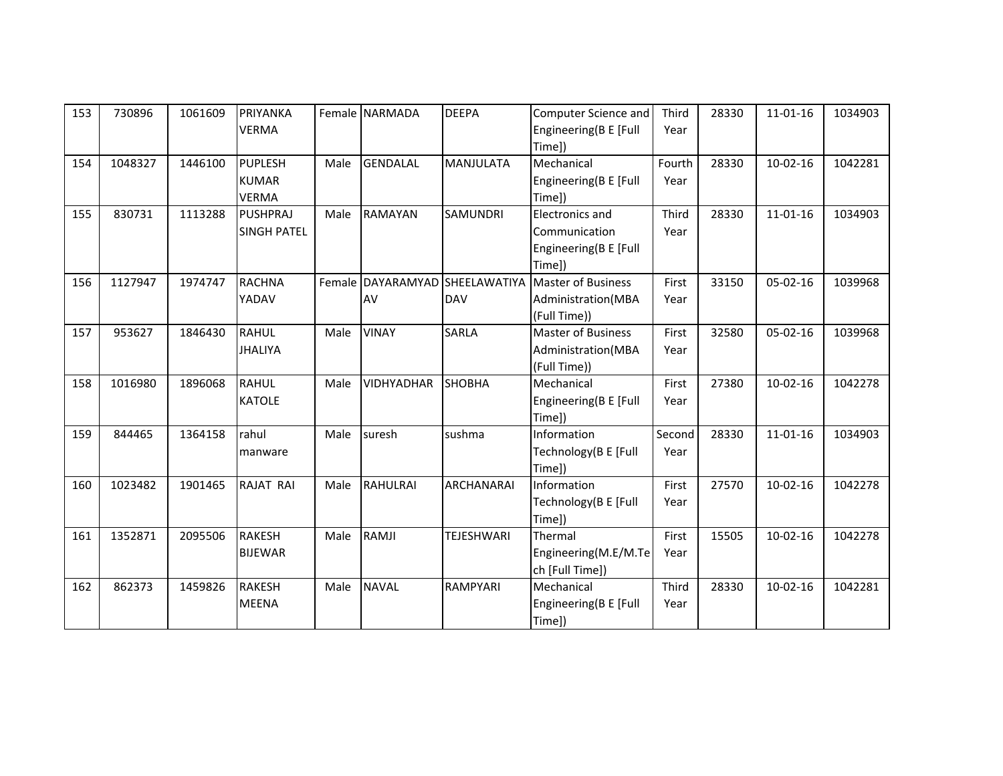| 153 | 730896  | 1061609 | PRIYANKA<br><b>VERMA</b>                       |      | Female NARMADA    | <b>DEEPA</b>                                 | Computer Science and<br>Engineering(B E [Full<br>Time])                    | Third<br>Year  | 28330 | 11-01-16       | 1034903 |
|-----|---------|---------|------------------------------------------------|------|-------------------|----------------------------------------------|----------------------------------------------------------------------------|----------------|-------|----------------|---------|
| 154 | 1048327 | 1446100 | <b>PUPLESH</b><br><b>KUMAR</b><br><b>VERMA</b> | Male | <b>GENDALAL</b>   | <b>MANJULATA</b>                             | Mechanical<br>Engineering(B E [Full<br>Time])                              | Fourth<br>Year | 28330 | $10-02-16$     | 1042281 |
| 155 | 830731  | 1113288 | <b>PUSHPRAJ</b><br><b>SINGH PATEL</b>          | Male | <b>RAMAYAN</b>    | SAMUNDRI                                     | <b>Electronics and</b><br>Communication<br>Engineering(B E [Full<br>Time]) | Third<br>Year  | 28330 | $11 - 01 - 16$ | 1034903 |
| 156 | 1127947 | 1974747 | <b>RACHNA</b><br>YADAV                         |      | AV                | Female DAYARAMYAD SHEELAWATIYA<br><b>DAV</b> | <b>Master of Business</b><br>Administration(MBA<br>(Full Time))            | First<br>Year  | 33150 | 05-02-16       | 1039968 |
| 157 | 953627  | 1846430 | <b>RAHUL</b><br><b>JHALIYA</b>                 | Male | <b>VINAY</b>      | SARLA                                        | <b>Master of Business</b><br>Administration(MBA<br>(Full Time))            | First<br>Year  | 32580 | 05-02-16       | 1039968 |
| 158 | 1016980 | 1896068 | <b>RAHUL</b><br><b>KATOLE</b>                  | Male | <b>VIDHYADHAR</b> | <b>SHOBHA</b>                                | Mechanical<br>Engineering(B E [Full<br>Time])                              | First<br>Year  | 27380 | $10-02-16$     | 1042278 |
| 159 | 844465  | 1364158 | rahul<br>manware                               | Male | suresh            | sushma                                       | Information<br>Technology(B E [Full<br>Time])                              | Second<br>Year | 28330 | $11 - 01 - 16$ | 1034903 |
| 160 | 1023482 | 1901465 | <b>RAJAT RAI</b>                               | Male | <b>RAHULRAI</b>   | ARCHANARAI                                   | Information<br>Technology(B E [Full<br>Time])                              | First<br>Year  | 27570 | $10-02-16$     | 1042278 |
| 161 | 1352871 | 2095506 | <b>RAKESH</b><br><b>BIJEWAR</b>                | Male | RAMJI             | <b>TEJESHWARI</b>                            | Thermal<br>Engineering(M.E/M.Te<br>ch [Full Time])                         | First<br>Year  | 15505 | $10-02-16$     | 1042278 |
| 162 | 862373  | 1459826 | <b>RAKESH</b><br><b>MEENA</b>                  | Male | <b>NAVAL</b>      | RAMPYARI                                     | Mechanical<br>Engineering(B E [Full<br>Time])                              | Third<br>Year  | 28330 | $10-02-16$     | 1042281 |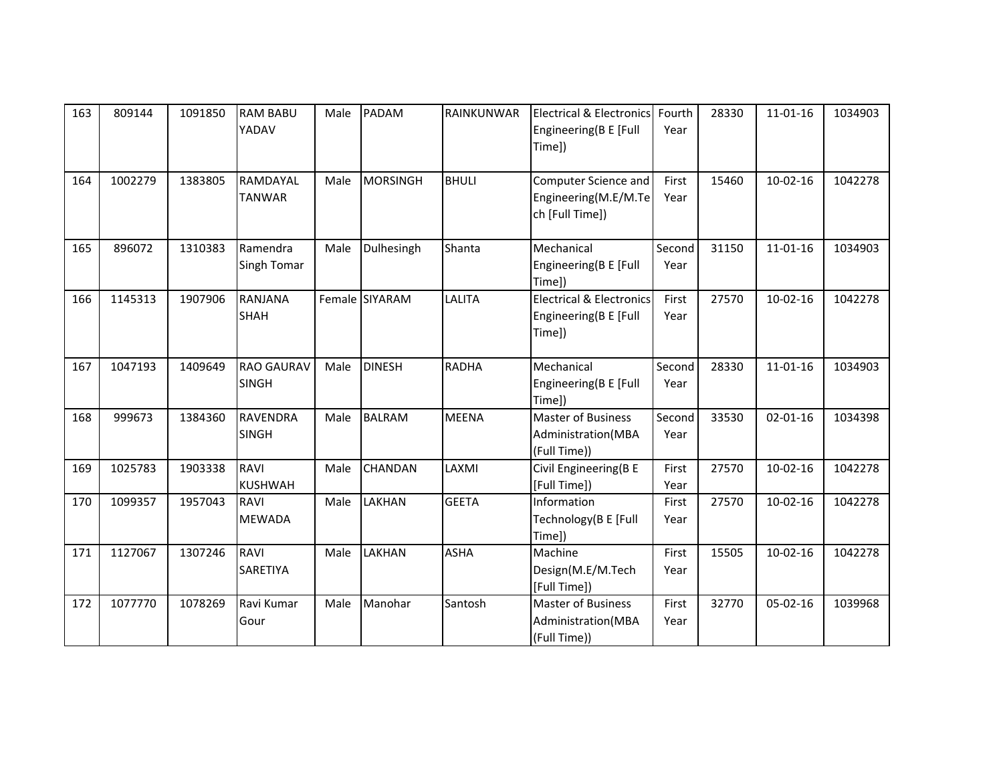| 163 | 809144  | 1091850 | <b>RAM BABU</b><br>YADAV          | Male | <b>PADAM</b>   | <b>RAINKUNWAR</b> | <b>Electrical &amp; Electronics</b><br>Engineering(B E [Full<br>Time]) | Fourth<br>Year | 28330 | $11 - 01 - 16$ | 1034903 |
|-----|---------|---------|-----------------------------------|------|----------------|-------------------|------------------------------------------------------------------------|----------------|-------|----------------|---------|
| 164 | 1002279 | 1383805 | RAMDAYAL<br><b>TANWAR</b>         | Male | MORSINGH       | <b>BHULI</b>      | Computer Science and<br>Engineering(M.E/M.Te<br>ch [Full Time])        | First<br>Year  | 15460 | $10-02-16$     | 1042278 |
| 165 | 896072  | 1310383 | Ramendra<br>Singh Tomar           | Male | Dulhesingh     | Shanta            | Mechanical<br>Engineering(B E [Full<br>Time])                          | Second<br>Year | 31150 | $11 - 01 - 16$ | 1034903 |
| 166 | 1145313 | 1907906 | <b>RANJANA</b><br><b>SHAH</b>     |      | Female SIYARAM | <b>LALITA</b>     | <b>Electrical &amp; Electronics</b><br>Engineering(B E [Full<br>Time]) | First<br>Year  | 27570 | $10-02-16$     | 1042278 |
| 167 | 1047193 | 1409649 | <b>RAO GAURAV</b><br><b>SINGH</b> | Male | <b>DINESH</b>  | <b>RADHA</b>      | Mechanical<br>Engineering(B E [Full<br>Time])                          | Second<br>Year | 28330 | $11 - 01 - 16$ | 1034903 |
| 168 | 999673  | 1384360 | <b>RAVENDRA</b><br><b>SINGH</b>   | Male | <b>BALRAM</b>  | <b>MEENA</b>      | <b>Master of Business</b><br>Administration(MBA<br>(Full Time))        | Second<br>Year | 33530 | $02 - 01 - 16$ | 1034398 |
| 169 | 1025783 | 1903338 | <b>RAVI</b><br><b>KUSHWAH</b>     | Male | <b>CHANDAN</b> | LAXMI             | Civil Engineering(B E<br>[Full Time])                                  | First<br>Year  | 27570 | $10-02-16$     | 1042278 |
| 170 | 1099357 | 1957043 | <b>RAVI</b><br><b>MEWADA</b>      | Male | <b>LAKHAN</b>  | <b>GEETA</b>      | Information<br>Technology(B E [Full<br>Time])                          | First<br>Year  | 27570 | $10-02-16$     | 1042278 |
| 171 | 1127067 | 1307246 | RAVI<br>SARETIYA                  | Male | <b>LAKHAN</b>  | <b>ASHA</b>       | Machine<br>Design(M.E/M.Tech<br>[Full Time])                           | First<br>Year  | 15505 | $10-02-16$     | 1042278 |
| 172 | 1077770 | 1078269 | Ravi Kumar<br>Gour                | Male | Manohar        | Santosh           | <b>Master of Business</b><br>Administration(MBA<br>(Full Time))        | First<br>Year  | 32770 | $05 - 02 - 16$ | 1039968 |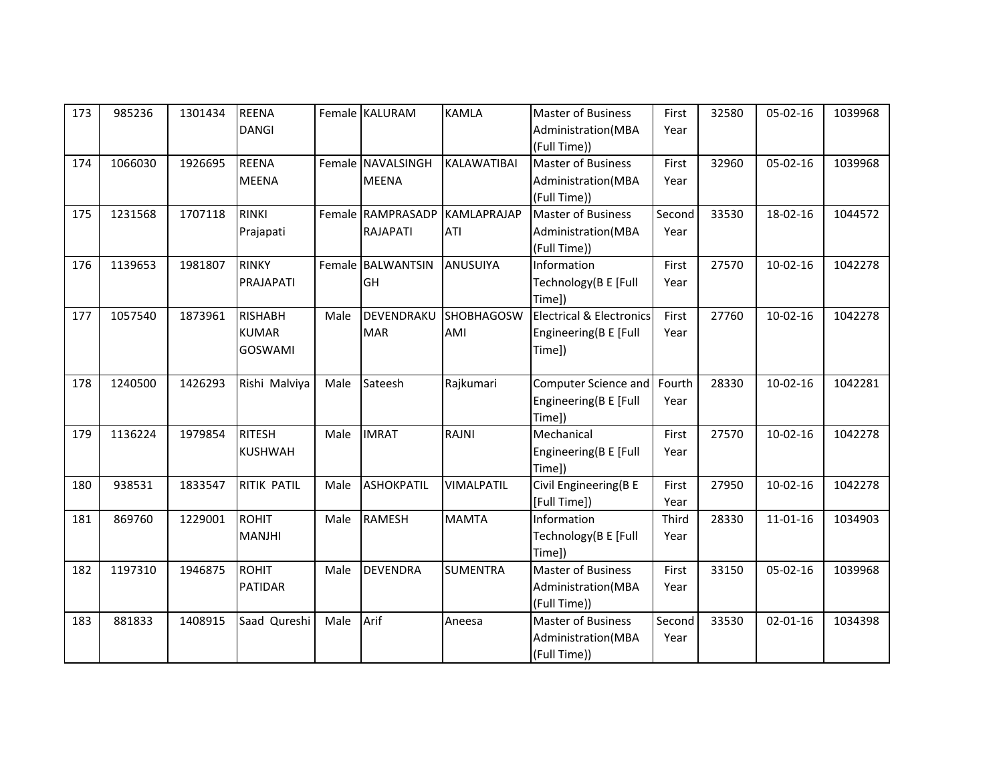| 173 | 985236  | 1301434 | <b>REENA</b>       |      | Female KALURAM    | <b>KAMLA</b>       | Master of Business                  | First  | 32580 | $05-02-16$     | 1039968 |
|-----|---------|---------|--------------------|------|-------------------|--------------------|-------------------------------------|--------|-------|----------------|---------|
|     |         |         | <b>DANGI</b>       |      |                   |                    | Administration(MBA                  | Year   |       |                |         |
|     |         |         |                    |      |                   |                    | (Full Time))                        |        |       |                |         |
| 174 | 1066030 | 1926695 | <b>REENA</b>       |      | Female NAVALSINGH | KALAWATIBAI        | Master of Business                  | First  | 32960 | $05-02-16$     | 1039968 |
|     |         |         | <b>MEENA</b>       |      | <b>MEENA</b>      |                    | Administration(MBA                  | Year   |       |                |         |
|     |         |         |                    |      |                   |                    | (Full Time))                        |        |       |                |         |
| 175 | 1231568 | 1707118 | <b>RINKI</b>       |      | Female RAMPRASADP | <b>KAMLAPRAJAP</b> | <b>Master of Business</b>           | Second | 33530 | 18-02-16       | 1044572 |
|     |         |         | Prajapati          |      | RAJAPATI          | <b>ATI</b>         | Administration(MBA                  | Year   |       |                |         |
|     |         |         |                    |      |                   |                    | (Full Time))                        |        |       |                |         |
| 176 | 1139653 | 1981807 | <b>RINKY</b>       |      | Female BALWANTSIN | ANUSUIYA           | Information                         | First  | 27570 | $10-02-16$     | 1042278 |
|     |         |         | PRAJAPATI          |      | GH                |                    | Technology(B E [Full                | Year   |       |                |         |
|     |         |         |                    |      |                   |                    | Time])                              |        |       |                |         |
| 177 | 1057540 | 1873961 | <b>RISHABH</b>     | Male | DEVENDRAKU        | <b>SHOBHAGOSW</b>  | <b>Electrical &amp; Electronics</b> | First  | 27760 | $10-02-16$     | 1042278 |
|     |         |         | <b>KUMAR</b>       |      | <b>MAR</b>        | AMI                | Engineering(B E [Full               | Year   |       |                |         |
|     |         |         | GOSWAMI            |      |                   |                    | Time])                              |        |       |                |         |
|     |         |         |                    |      |                   |                    |                                     |        |       |                |         |
| 178 | 1240500 | 1426293 | Rishi Malviya      | Male | Sateesh           | Rajkumari          | Computer Science and                | Fourth | 28330 | $10-02-16$     | 1042281 |
|     |         |         |                    |      |                   |                    | Engineering(B E [Full               | Year   |       |                |         |
|     |         |         |                    |      |                   |                    | Time])                              |        |       |                |         |
| 179 | 1136224 | 1979854 | <b>RITESH</b>      | Male | <b>IMRAT</b>      | RAJNI              | Mechanical                          | First  | 27570 | $10-02-16$     | 1042278 |
|     |         |         | <b>KUSHWAH</b>     |      |                   |                    | Engineering(B E [Full               | Year   |       |                |         |
|     |         |         |                    |      |                   |                    | Time])                              |        |       |                |         |
| 180 | 938531  | 1833547 | <b>RITIK PATIL</b> | Male | <b>ASHOKPATIL</b> | <b>VIMALPATIL</b>  | Civil Engineering(B E               | First  | 27950 | $10 - 02 - 16$ | 1042278 |
|     |         |         |                    |      |                   |                    | [Full Time])                        | Year   |       |                |         |
| 181 | 869760  | 1229001 | <b>ROHIT</b>       | Male | <b>RAMESH</b>     | <b>MAMTA</b>       | Information                         | Third  | 28330 | 11-01-16       | 1034903 |
|     |         |         | MANJHI             |      |                   |                    | Technology(B E [Full                | Year   |       |                |         |
|     |         |         |                    |      |                   |                    | Time])                              |        |       |                |         |
| 182 | 1197310 | 1946875 | <b>ROHIT</b>       | Male | <b>DEVENDRA</b>   | <b>SUMENTRA</b>    | <b>Master of Business</b>           | First  | 33150 | $05-02-16$     | 1039968 |
|     |         |         | <b>PATIDAR</b>     |      |                   |                    | Administration(MBA                  | Year   |       |                |         |
|     |         |         |                    |      |                   |                    | (Full Time))                        |        |       |                |         |
| 183 | 881833  | 1408915 | Saad Qureshi       | Male | Arif              | Aneesa             | <b>Master of Business</b>           | Second | 33530 | $02 - 01 - 16$ | 1034398 |
|     |         |         |                    |      |                   |                    | Administration(MBA                  | Year   |       |                |         |
|     |         |         |                    |      |                   |                    | (Full Time))                        |        |       |                |         |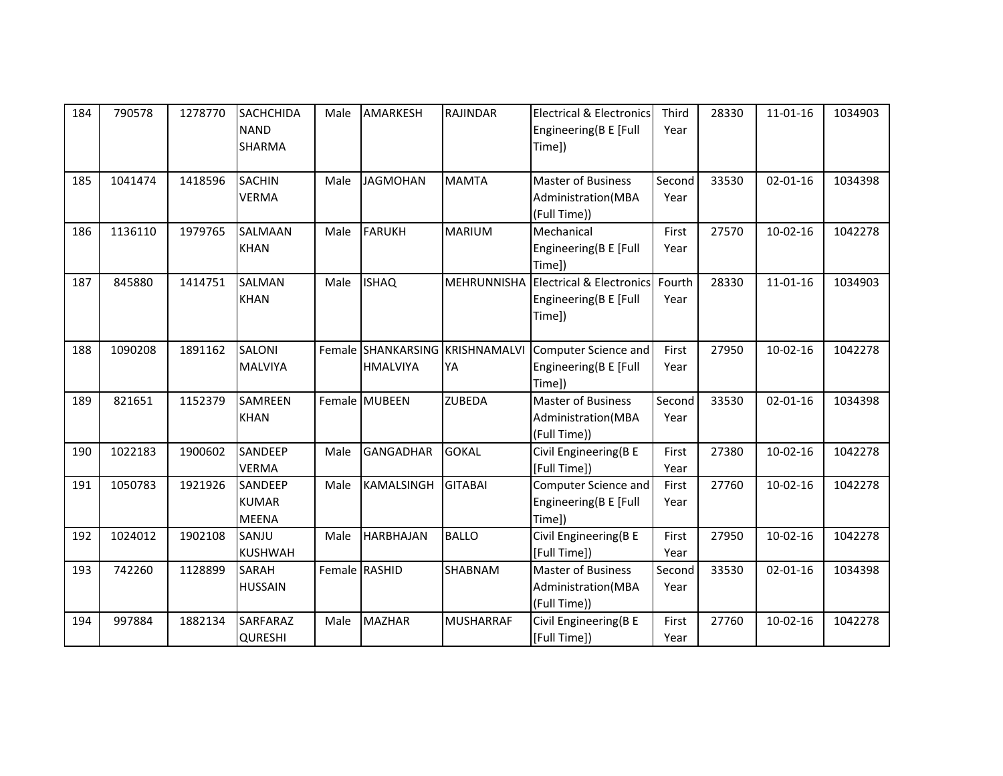| 184 | 790578  | 1278770 | <b>SACHCHIDA</b><br><b>NAND</b><br>SHARMA | Male | <b>AMARKESH</b>  | RAJINDAR                              | <b>Electrical &amp; Electronics</b><br>Engineering(B E [Full<br>Time]) | Third<br>Year  | 28330 | $11 - 01 - 16$ | 1034903 |
|-----|---------|---------|-------------------------------------------|------|------------------|---------------------------------------|------------------------------------------------------------------------|----------------|-------|----------------|---------|
| 185 | 1041474 | 1418596 | <b>SACHIN</b><br><b>VERMA</b>             | Male | <b>JAGMOHAN</b>  | <b>MAMTA</b>                          | <b>Master of Business</b><br>Administration(MBA<br>(Full Time))        | Second<br>Year | 33530 | $02 - 01 - 16$ | 1034398 |
| 186 | 1136110 | 1979765 | <b>SALMAAN</b><br><b>KHAN</b>             | Male | <b>FARUKH</b>    | <b>MARIUM</b>                         | Mechanical<br>Engineering(B E [Full<br>Time])                          | First<br>Year  | 27570 | $10-02-16$     | 1042278 |
| 187 | 845880  | 1414751 | SALMAN<br><b>KHAN</b>                     | Male | <b>ISHAQ</b>     | <b>MEHRUNNISHA</b>                    | <b>Electrical &amp; Electronics</b><br>Engineering(B E [Full<br>Time]) | Fourth<br>Year | 28330 | $11 - 01 - 16$ | 1034903 |
| 188 | 1090208 | 1891162 | <b>SALONI</b><br><b>MALVIYA</b>           |      | <b>HMALVIYA</b>  | Female SHANKARSING KRISHNAMALVI<br>YA | Computer Science and<br>Engineering(B E [Full<br>Time])                | First<br>Year  | 27950 | $10-02-16$     | 1042278 |
| 189 | 821651  | 1152379 | <b>SAMREEN</b><br><b>KHAN</b>             |      | Female MUBEEN    | <b>ZUBEDA</b>                         | <b>Master of Business</b><br>Administration (MBA<br>(Full Time))       | Second<br>Year | 33530 | $02 - 01 - 16$ | 1034398 |
| 190 | 1022183 | 1900602 | SANDEEP<br><b>VERMA</b>                   | Male | <b>GANGADHAR</b> | <b>GOKAL</b>                          | Civil Engineering(B E<br>[Full Time])                                  | First<br>Year  | 27380 | $10-02-16$     | 1042278 |
| 191 | 1050783 | 1921926 | SANDEEP<br><b>KUMAR</b><br><b>MEENA</b>   | Male | KAMALSINGH       | <b>GITABAI</b>                        | Computer Science and<br>Engineering(B E [Full<br>Time])                | First<br>Year  | 27760 | $10-02-16$     | 1042278 |
| 192 | 1024012 | 1902108 | SANJU<br><b>KUSHWAH</b>                   | Male | <b>HARBHAJAN</b> | <b>BALLO</b>                          | Civil Engineering(B E<br>[Full Time])                                  | First<br>Year  | 27950 | $10-02-16$     | 1042278 |
| 193 | 742260  | 1128899 | SARAH<br><b>HUSSAIN</b>                   |      | Female RASHID    | SHABNAM                               | <b>Master of Business</b><br>Administration(MBA<br>(Full Time))        | Second<br>Year | 33530 | $02 - 01 - 16$ | 1034398 |
| 194 | 997884  | 1882134 | SARFARAZ<br><b>QURESHI</b>                | Male | <b>MAZHAR</b>    | <b>MUSHARRAF</b>                      | Civil Engineering(B E<br>[Full Time])                                  | First<br>Year  | 27760 | $10-02-16$     | 1042278 |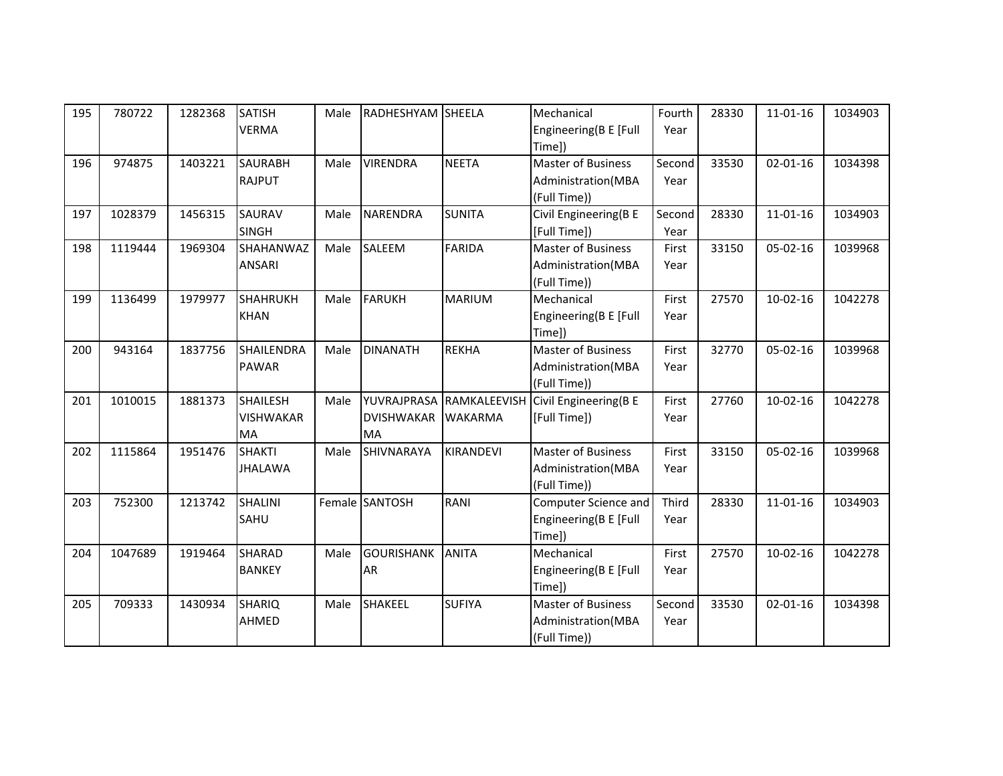| 195 | 780722  | 1282368 | <b>SATISH</b>     | Male | RADHESHYAM SHEELA |                          | Mechanical                | Fourth | 28330 | $11 - 01 - 16$ | 1034903 |
|-----|---------|---------|-------------------|------|-------------------|--------------------------|---------------------------|--------|-------|----------------|---------|
|     |         |         | <b>VERMA</b>      |      |                   |                          | Engineering(B E [Full     | Year   |       |                |         |
|     |         |         |                   |      |                   |                          | Time])                    |        |       |                |         |
| 196 | 974875  | 1403221 | <b>SAURABH</b>    | Male | <b>VIRENDRA</b>   | <b>NEETA</b>             | <b>Master of Business</b> | Second | 33530 | $02 - 01 - 16$ | 1034398 |
|     |         |         | <b>RAJPUT</b>     |      |                   |                          | Administration(MBA        | Year   |       |                |         |
|     |         |         |                   |      |                   |                          | (Full Time))              |        |       |                |         |
| 197 | 1028379 | 1456315 | SAURAV            | Male | <b>NARENDRA</b>   | <b>SUNITA</b>            | Civil Engineering(B E     | Second | 28330 | $11 - 01 - 16$ | 1034903 |
|     |         |         | <b>SINGH</b>      |      |                   |                          | [Full Time])              | Year   |       |                |         |
| 198 | 1119444 | 1969304 | SHAHANWAZ         | Male | SALEEM            | <b>FARIDA</b>            | <b>Master of Business</b> | First  | 33150 | $05 - 02 - 16$ | 1039968 |
|     |         |         | ANSARI            |      |                   |                          | Administration(MBA        | Year   |       |                |         |
|     |         |         |                   |      |                   |                          | (Full Time))              |        |       |                |         |
| 199 | 1136499 | 1979977 | <b>SHAHRUKH</b>   | Male | FARUKH            | <b>MARIUM</b>            | Mechanical                | First  | 27570 | $10-02-16$     | 1042278 |
|     |         |         | <b>KHAN</b>       |      |                   |                          | Engineering(B E [Full     | Year   |       |                |         |
|     |         |         |                   |      |                   |                          | Time])                    |        |       |                |         |
| 200 | 943164  | 1837756 | <b>SHAILENDRA</b> | Male | <b>DINANATH</b>   | <b>REKHA</b>             | Master of Business        | First  | 32770 | $05 - 02 - 16$ | 1039968 |
|     |         |         | <b>PAWAR</b>      |      |                   |                          | Administration(MBA        | Year   |       |                |         |
|     |         |         |                   |      |                   |                          | (Full Time))              |        |       |                |         |
| 201 | 1010015 | 1881373 | <b>SHAILESH</b>   | Male |                   | YUVRAJPRASA RAMKALEEVISH | Civil Engineering(B E     | First  | 27760 | $10-02-16$     | 1042278 |
|     |         |         | <b>VISHWAKAR</b>  |      | <b>DVISHWAKAR</b> | <b>WAKARMA</b>           | [Full Time])              | Year   |       |                |         |
|     |         |         | MA                |      | <b>MA</b>         |                          |                           |        |       |                |         |
| 202 | 1115864 | 1951476 | <b>SHAKTI</b>     | Male | SHIVNARAYA        | <b>KIRANDEVI</b>         | <b>Master of Business</b> | First  | 33150 | $05 - 02 - 16$ | 1039968 |
|     |         |         | <b>JHALAWA</b>    |      |                   |                          | Administration(MBA        | Year   |       |                |         |
|     |         |         |                   |      |                   |                          | (Full Time))              |        |       |                |         |
| 203 | 752300  | 1213742 | <b>SHALINI</b>    |      | Female SANTOSH    | RANI                     | Computer Science and      | Third  | 28330 | $11 - 01 - 16$ | 1034903 |
|     |         |         | SAHU              |      |                   |                          | Engineering(B E [Full     | Year   |       |                |         |
|     |         |         |                   |      |                   |                          | Time])                    |        |       |                |         |
| 204 | 1047689 | 1919464 | <b>SHARAD</b>     | Male | <b>GOURISHANK</b> | <b>ANITA</b>             | Mechanical                | First  | 27570 | $10-02-16$     | 1042278 |
|     |         |         | <b>BANKEY</b>     |      | <b>AR</b>         |                          | Engineering(B E [Full     | Year   |       |                |         |
|     |         |         |                   |      |                   |                          | Time])                    |        |       |                |         |
| 205 | 709333  | 1430934 | <b>SHARIQ</b>     | Male | SHAKEEL           | <b>SUFIYA</b>            | <b>Master of Business</b> | Second | 33530 | $02 - 01 - 16$ | 1034398 |
|     |         |         | AHMED             |      |                   |                          | Administration(MBA        | Year   |       |                |         |
|     |         |         |                   |      |                   |                          | (Full Time))              |        |       |                |         |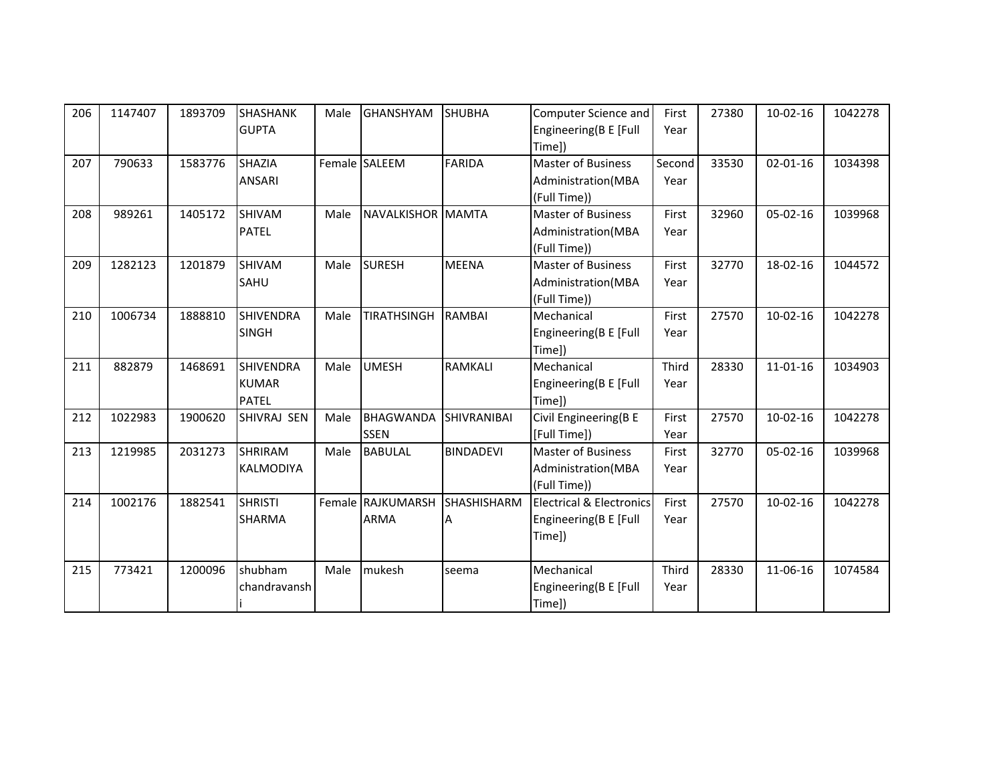| 206 | 1147407 | 1893709 | <b>SHASHANK</b>  | Male | <b>GHANSHYAM</b>   | <b>SHUBHA</b>      | Computer Science and                | First  | 27380 | $10-02-16$     | 1042278 |
|-----|---------|---------|------------------|------|--------------------|--------------------|-------------------------------------|--------|-------|----------------|---------|
|     |         |         | <b>GUPTA</b>     |      |                    |                    | Engineering(B E [Full<br>Time])     | Year   |       |                |         |
| 207 | 790633  | 1583776 | <b>SHAZIA</b>    |      | Female SALEEM      | <b>FARIDA</b>      | Master of Business                  | Second | 33530 | $02 - 01 - 16$ | 1034398 |
|     |         |         | <b>ANSARI</b>    |      |                    |                    | Administration(MBA                  | Year   |       |                |         |
|     |         |         |                  |      |                    |                    | (Full Time))                        |        |       |                |         |
| 208 | 989261  | 1405172 | <b>SHIVAM</b>    | Male | NAVALKISHOR MAMTA  |                    | <b>Master of Business</b>           | First  | 32960 | $05 - 02 - 16$ | 1039968 |
|     |         |         | <b>PATEL</b>     |      |                    |                    | Administration(MBA                  | Year   |       |                |         |
|     |         |         |                  |      |                    |                    | (Full Time))                        |        |       |                |         |
| 209 | 1282123 | 1201879 | <b>SHIVAM</b>    | Male | <b>SURESH</b>      | <b>MEENA</b>       | <b>Master of Business</b>           | First  | 32770 | 18-02-16       | 1044572 |
|     |         |         | SAHU             |      |                    |                    | Administration(MBA                  | Year   |       |                |         |
|     |         |         |                  |      |                    |                    | (Full Time))                        |        |       |                |         |
| 210 | 1006734 | 1888810 | <b>SHIVENDRA</b> | Male | <b>TIRATHSINGH</b> | <b>RAMBAI</b>      | Mechanical                          | First  | 27570 | $10-02-16$     | 1042278 |
|     |         |         | <b>SINGH</b>     |      |                    |                    | Engineering(B E [Full               | Year   |       |                |         |
|     |         |         |                  |      |                    |                    | Time])                              |        |       |                |         |
| 211 | 882879  | 1468691 | <b>SHIVENDRA</b> | Male | <b>UMESH</b>       | <b>RAMKALI</b>     | Mechanical                          | Third  | 28330 | $11 - 01 - 16$ | 1034903 |
|     |         |         | <b>KUMAR</b>     |      |                    |                    | Engineering(B E [Full               | Year   |       |                |         |
|     |         |         | <b>PATEL</b>     |      |                    |                    | Time])                              |        |       |                |         |
| 212 | 1022983 | 1900620 | SHIVRAJ SEN      | Male | <b>BHAGWANDA</b>   | <b>SHIVRANIBAI</b> | Civil Engineering(B E               | First  | 27570 | $10-02-16$     | 1042278 |
|     |         |         |                  |      | <b>SSEN</b>        |                    | [Full Time])                        | Year   |       |                |         |
| 213 | 1219985 | 2031273 | <b>SHRIRAM</b>   | Male | <b>BABULAL</b>     | <b>BINDADEVI</b>   | <b>Master of Business</b>           | First  | 32770 | $05 - 02 - 16$ | 1039968 |
|     |         |         | <b>KALMODIYA</b> |      |                    |                    | Administration(MBA                  | Year   |       |                |         |
|     |         |         |                  |      |                    |                    | (Full Time))                        |        |       |                |         |
| 214 | 1002176 | 1882541 | <b>SHRISTI</b>   |      | Female RAJKUMARSH  | <b>SHASHISHARM</b> | <b>Electrical &amp; Electronics</b> | First  | 27570 | $10-02-16$     | 1042278 |
|     |         |         | <b>SHARMA</b>    |      | <b>ARMA</b>        |                    | Engineering(B E [Full               | Year   |       |                |         |
|     |         |         |                  |      |                    |                    | Time])                              |        |       |                |         |
|     |         |         |                  |      |                    |                    |                                     |        |       |                |         |
| 215 | 773421  | 1200096 | shubham          | Male | mukesh             | seema              | Mechanical                          | Third  | 28330 | 11-06-16       | 1074584 |
|     |         |         | chandravansh     |      |                    |                    | Engineering(B E [Full               | Year   |       |                |         |
|     |         |         |                  |      |                    |                    | Time])                              |        |       |                |         |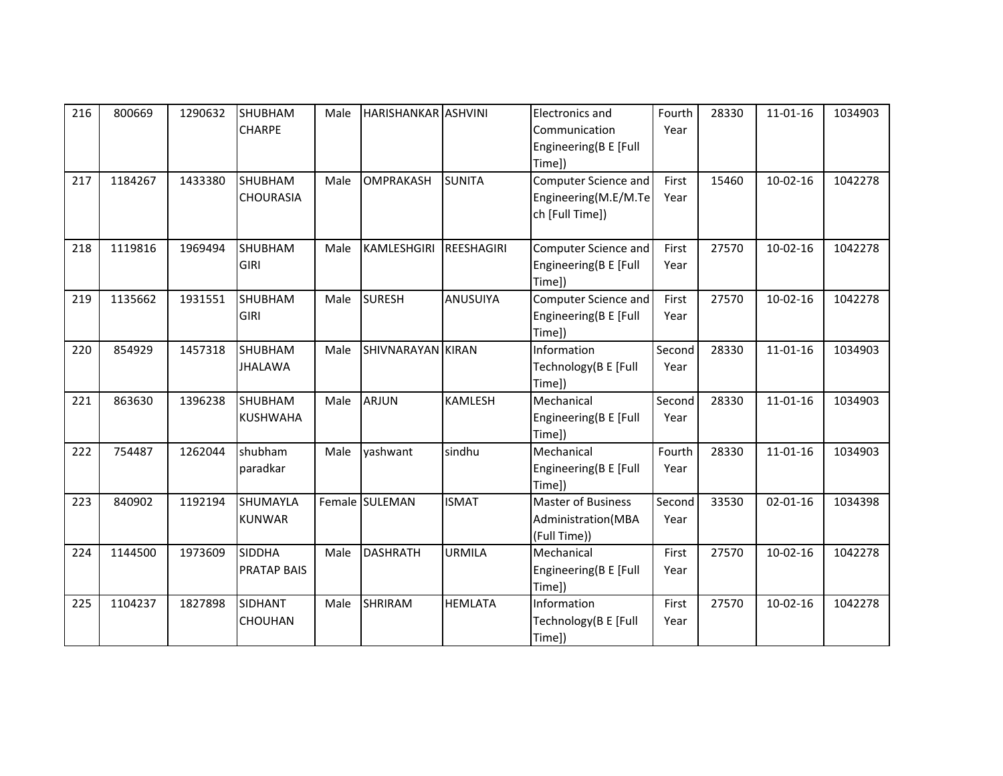| 216 | 800669  | 1290632 | <b>SHUBHAM</b><br><b>CHARPE</b>     | Male | <b>HARISHANKAR ASHVINI</b> |                   | Electronics and<br>Communication<br>Engineering(B E [Full<br>Time]) | Fourth<br>Year | 28330 | 11-01-16       | 1034903 |
|-----|---------|---------|-------------------------------------|------|----------------------------|-------------------|---------------------------------------------------------------------|----------------|-------|----------------|---------|
| 217 | 1184267 | 1433380 | <b>SHUBHAM</b><br><b>CHOURASIA</b>  | Male | <b>OMPRAKASH</b>           | <b>SUNITA</b>     | Computer Science and<br>Engineering(M.E/M.Te<br>ch [Full Time])     | First<br>Year  | 15460 | $10-02-16$     | 1042278 |
| 218 | 1119816 | 1969494 | <b>SHUBHAM</b><br><b>GIRI</b>       | Male | KAMLESHGIRI                | <b>REESHAGIRI</b> | Computer Science and<br>Engineering(B E [Full<br>Time])             | First<br>Year  | 27570 | $10-02-16$     | 1042278 |
| 219 | 1135662 | 1931551 | <b>SHUBHAM</b><br><b>GIRI</b>       | Male | <b>SURESH</b>              | ANUSUIYA          | Computer Science and<br>Engineering(B E [Full<br>Time])             | First<br>Year  | 27570 | $10-02-16$     | 1042278 |
| 220 | 854929  | 1457318 | <b>SHUBHAM</b><br><b>JHALAWA</b>    | Male | <b>SHIVNARAYAN KIRAN</b>   |                   | Information<br>Technology(B E [Full<br>Time])                       | Second<br>Year | 28330 | $11 - 01 - 16$ | 1034903 |
| 221 | 863630  | 1396238 | SHUBHAM<br><b>KUSHWAHA</b>          | Male | <b>ARJUN</b>               | <b>KAMLESH</b>    | Mechanical<br>Engineering(B E [Full<br>Time])                       | Second<br>Year | 28330 | $11 - 01 - 16$ | 1034903 |
| 222 | 754487  | 1262044 | shubham<br>paradkar                 | Male | yashwant                   | sindhu            | Mechanical<br>Engineering(B E [Full<br>Time])                       | Fourth<br>Year | 28330 | $11 - 01 - 16$ | 1034903 |
| 223 | 840902  | 1192194 | SHUMAYLA<br><b>KUNWAR</b>           |      | Female SULEMAN             | <b>ISMAT</b>      | <b>Master of Business</b><br>Administration(MBA<br>(Full Time))     | Second<br>Year | 33530 | $02 - 01 - 16$ | 1034398 |
| 224 | 1144500 | 1973609 | <b>SIDDHA</b><br><b>PRATAP BAIS</b> | Male | <b>DASHRATH</b>            | <b>URMILA</b>     | Mechanical<br>Engineering(B E [Full<br>Time])                       | First<br>Year  | 27570 | $10-02-16$     | 1042278 |
| 225 | 1104237 | 1827898 | SIDHANT<br><b>CHOUHAN</b>           | Male | <b>SHRIRAM</b>             | <b>HEMLATA</b>    | Information<br>Technology(B E [Full<br>Time])                       | First<br>Year  | 27570 | $10-02-16$     | 1042278 |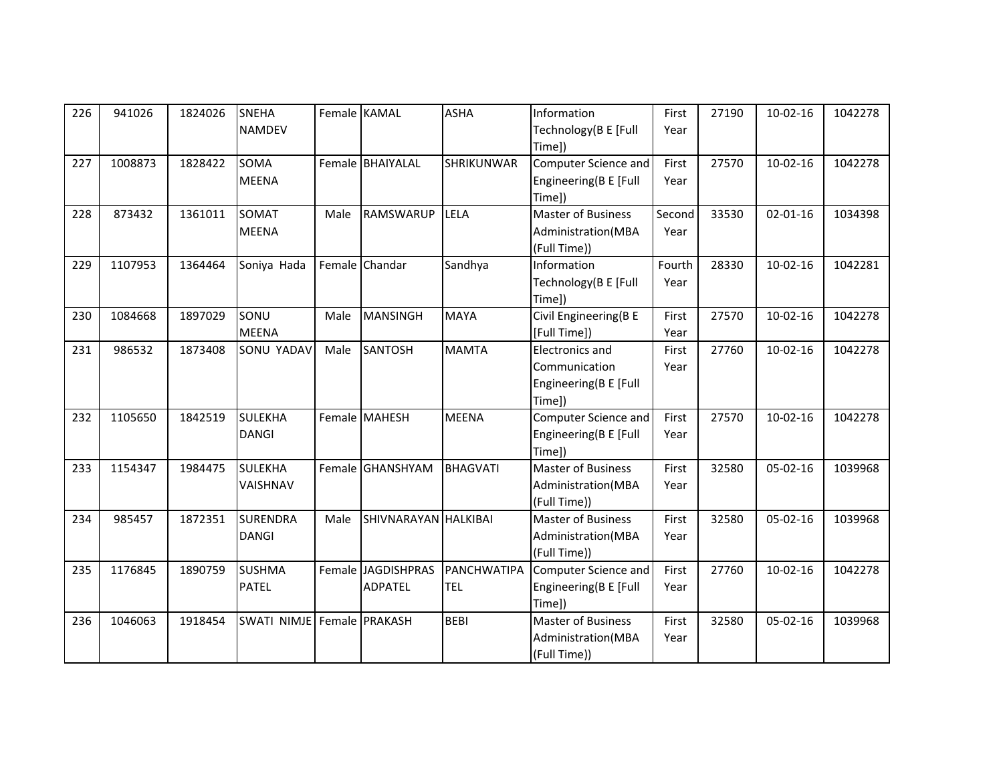| 226 | 941026  | 1824026 | <b>SNEHA</b>               |      | Female KAMAL         | <b>ASHA</b>       | Information               | First  | 27190 | $10-02-16$     | 1042278 |
|-----|---------|---------|----------------------------|------|----------------------|-------------------|---------------------------|--------|-------|----------------|---------|
|     |         |         | <b>NAMDEV</b>              |      |                      |                   | Technology(B E [Full      | Year   |       |                |         |
|     |         |         |                            |      |                      |                   | Time])                    |        |       |                |         |
| 227 | 1008873 | 1828422 | SOMA                       |      | Female BHAIYALAL     | <b>SHRIKUNWAR</b> | Computer Science and      | First  | 27570 | $10-02-16$     | 1042278 |
|     |         |         | <b>MEENA</b>               |      |                      |                   | Engineering(B E [Full     | Year   |       |                |         |
|     |         |         |                            |      |                      |                   | Time])                    |        |       |                |         |
| 228 | 873432  | 1361011 | SOMAT                      | Male | <b>RAMSWARUP</b>     | LELA              | <b>Master of Business</b> | Second | 33530 | $02 - 01 - 16$ | 1034398 |
|     |         |         | <b>MEENA</b>               |      |                      |                   | Administration(MBA        | Year   |       |                |         |
|     |         |         |                            |      |                      |                   | (Full Time))              |        |       |                |         |
| 229 | 1107953 | 1364464 | Soniya Hada                |      | Female Chandar       | Sandhya           | Information               | Fourth | 28330 | $10-02-16$     | 1042281 |
|     |         |         |                            |      |                      |                   | Technology(B E [Full      | Year   |       |                |         |
|     |         |         |                            |      |                      |                   | Time])                    |        |       |                |         |
| 230 | 1084668 | 1897029 | SONU                       | Male | <b>MANSINGH</b>      | <b>MAYA</b>       | Civil Engineering(B E     | First  | 27570 | $10-02-16$     | 1042278 |
|     |         |         | <b>MEENA</b>               |      |                      |                   | [Full Time])              | Year   |       |                |         |
| 231 | 986532  | 1873408 | SONU YADAV                 | Male | <b>SANTOSH</b>       | <b>MAMTA</b>      | <b>Electronics and</b>    | First  | 27760 | $10-02-16$     | 1042278 |
|     |         |         |                            |      |                      |                   | Communication             | Year   |       |                |         |
|     |         |         |                            |      |                      |                   | Engineering(B E [Full     |        |       |                |         |
|     |         |         |                            |      |                      |                   | Time])                    |        |       |                |         |
| 232 | 1105650 | 1842519 | <b>SULEKHA</b>             |      | Female MAHESH        | <b>MEENA</b>      | Computer Science and      | First  | 27570 | $10-02-16$     | 1042278 |
|     |         |         | <b>DANGI</b>               |      |                      |                   | Engineering(B E [Full     | Year   |       |                |         |
|     |         |         |                            |      |                      |                   | Time])                    |        |       |                |         |
| 233 | 1154347 | 1984475 | <b>SULEKHA</b>             |      | Female GHANSHYAM     | <b>BHAGVATI</b>   | Master of Business        | First  | 32580 | $05-02-16$     | 1039968 |
|     |         |         | VAISHNAV                   |      |                      |                   | Administration(MBA        | Year   |       |                |         |
|     |         |         |                            |      |                      |                   | (Full Time))              |        |       |                |         |
| 234 | 985457  | 1872351 | <b>SURENDRA</b>            | Male | SHIVNARAYAN HALKIBAI |                   | <b>Master of Business</b> | First  | 32580 | 05-02-16       | 1039968 |
|     |         |         | <b>DANGI</b>               |      |                      |                   | Administration(MBA        | Year   |       |                |         |
|     |         |         |                            |      |                      |                   | (Full Time))              |        |       |                |         |
| 235 | 1176845 | 1890759 | <b>SUSHMA</b>              |      | Female JAGDISHPRAS   | PANCHWATIPA       | Computer Science and      | First  | 27760 | $10-02-16$     | 1042278 |
|     |         |         | <b>PATEL</b>               |      | <b>ADPATEL</b>       | TEL               | Engineering(B E [Full     | Year   |       |                |         |
|     |         |         |                            |      |                      |                   | Time])                    |        |       |                |         |
| 236 | 1046063 | 1918454 | SWATI NIMJE Female PRAKASH |      |                      | <b>BEBI</b>       | <b>Master of Business</b> | First  | 32580 | $05-02-16$     | 1039968 |
|     |         |         |                            |      |                      |                   | Administration(MBA        | Year   |       |                |         |
|     |         |         |                            |      |                      |                   | (Full Time))              |        |       |                |         |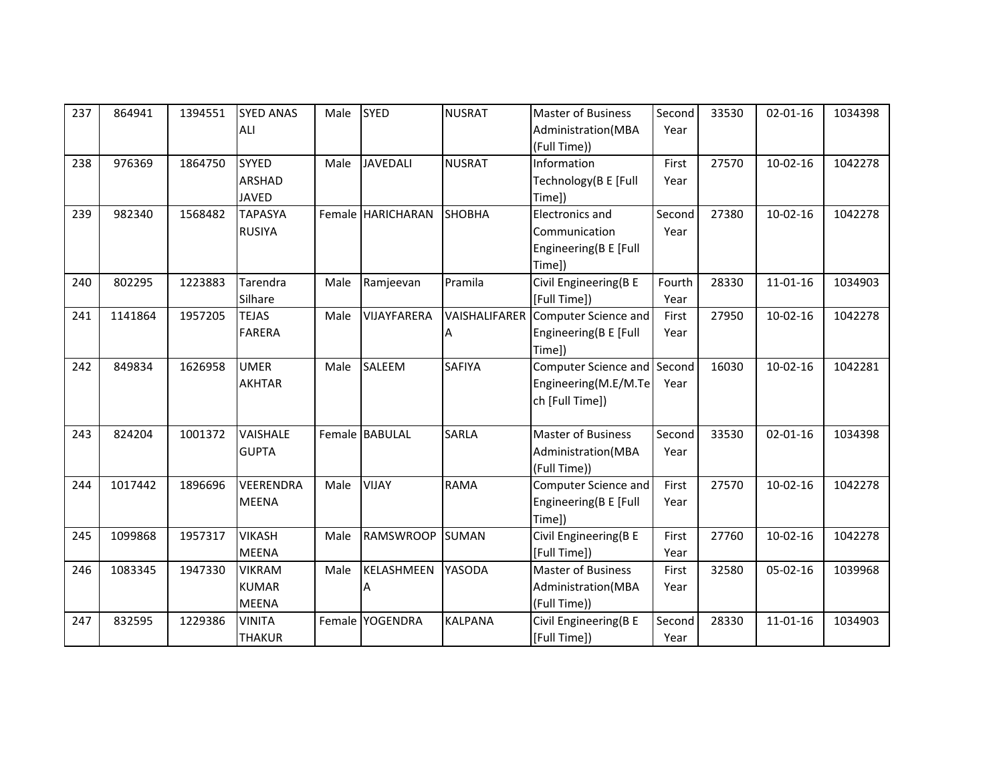| 237 | 864941  | 1394551 | <b>SYED ANAS</b> | Male | <b>SYED</b>       | <b>NUSRAT</b>  | <b>Master of Business</b>   | Second | 33530 | $02 - 01 - 16$ | 1034398 |
|-----|---------|---------|------------------|------|-------------------|----------------|-----------------------------|--------|-------|----------------|---------|
|     |         |         | ALI              |      |                   |                | Administration(MBA          | Year   |       |                |         |
|     |         |         |                  |      |                   |                | (Full Time))                |        |       |                |         |
| 238 | 976369  | 1864750 | <b>SYYED</b>     | Male | <b>JAVEDALI</b>   | <b>NUSRAT</b>  | Information                 | First  | 27570 | $10-02-16$     | 1042278 |
|     |         |         | ARSHAD           |      |                   |                | Technology(B E [Full        | Year   |       |                |         |
|     |         |         | <b>JAVED</b>     |      |                   |                | Time])                      |        |       |                |         |
| 239 | 982340  | 1568482 | <b>TAPASYA</b>   |      | Female HARICHARAN | <b>SHOBHA</b>  | Electronics and             | Second | 27380 | $10-02-16$     | 1042278 |
|     |         |         | <b>RUSIYA</b>    |      |                   |                | Communication               | Year   |       |                |         |
|     |         |         |                  |      |                   |                | Engineering(B E [Full       |        |       |                |         |
|     |         |         |                  |      |                   |                | Time])                      |        |       |                |         |
| 240 | 802295  | 1223883 | Tarendra         | Male | Ramjeevan         | Pramila        | Civil Engineering(B E       | Fourth | 28330 | $11 - 01 - 16$ | 1034903 |
|     |         |         | Silhare          |      |                   |                | [Full Time])                | Year   |       |                |         |
| 241 | 1141864 | 1957205 | <b>TEJAS</b>     | Male | VIJAYFARERA       | VAISHALIFARER  | Computer Science and        | First  | 27950 | $10-02-16$     | 1042278 |
|     |         |         | <b>FARERA</b>    |      |                   |                | Engineering(B E [Full       | Year   |       |                |         |
|     |         |         |                  |      |                   |                | Time])                      |        |       |                |         |
| 242 | 849834  | 1626958 | <b>UMER</b>      | Male | <b>SALEEM</b>     | <b>SAFIYA</b>  | Computer Science and Second |        | 16030 | $10-02-16$     | 1042281 |
|     |         |         | <b>AKHTAR</b>    |      |                   |                | Engineering(M.E/M.Te        | Year   |       |                |         |
|     |         |         |                  |      |                   |                | ch [Full Time])             |        |       |                |         |
|     |         |         |                  |      |                   |                |                             |        |       |                |         |
| 243 | 824204  | 1001372 | <b>VAISHALE</b>  |      | Female BABULAL    | <b>SARLA</b>   | <b>Master of Business</b>   | Second | 33530 | $02 - 01 - 16$ | 1034398 |
|     |         |         | <b>GUPTA</b>     |      |                   |                | Administration(MBA          | Year   |       |                |         |
|     |         |         |                  |      |                   |                | (Full Time))                |        |       |                |         |
| 244 | 1017442 | 1896696 | <b>VEERENDRA</b> | Male | <b>VIJAY</b>      | <b>RAMA</b>    | Computer Science and        | First  | 27570 | $10-02-16$     | 1042278 |
|     |         |         | <b>MEENA</b>     |      |                   |                | Engineering(B E [Full       | Year   |       |                |         |
|     |         |         |                  |      |                   |                | Time])                      |        |       |                |         |
| 245 | 1099868 | 1957317 | <b>VIKASH</b>    | Male | <b>RAMSWROOP</b>  | <b>SUMAN</b>   | Civil Engineering(B E       | First  | 27760 | $10-02-16$     | 1042278 |
|     |         |         | <b>MEENA</b>     |      |                   |                | [Full Time])                | Year   |       |                |         |
| 246 | 1083345 | 1947330 | <b>VIKRAM</b>    | Male | KELASHMEEN        | YASODA         | <b>Master of Business</b>   | First  | 32580 | $05 - 02 - 16$ | 1039968 |
|     |         |         | <b>KUMAR</b>     |      | А                 |                | Administration(MBA          | Year   |       |                |         |
|     |         |         | <b>MEENA</b>     |      |                   |                | (Full Time))                |        |       |                |         |
| 247 | 832595  | 1229386 | <b>VINITA</b>    |      | Female YOGENDRA   | <b>KALPANA</b> | Civil Engineering(B E       | Second | 28330 | $11 - 01 - 16$ | 1034903 |
|     |         |         | <b>THAKUR</b>    |      |                   |                | [Full Time])                | Year   |       |                |         |